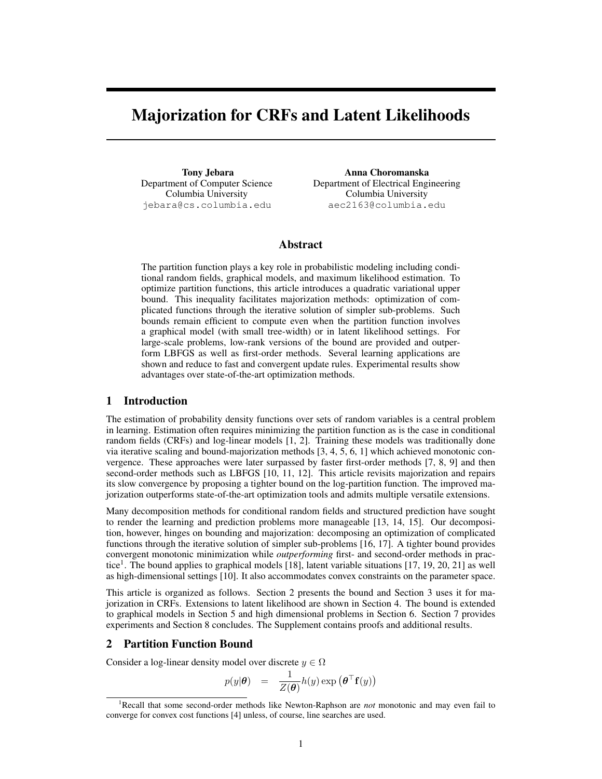## Majorization for CRFs and Latent Likelihoods

Tony Jebara Department of Computer Science Columbia University jebara@cs.columbia.edu

Anna Choromanska Department of Electrical Engineering Columbia University aec2163@columbia.edu

## Abstract

The partition function plays a key role in probabilistic modeling including conditional random fields, graphical models, and maximum likelihood estimation. To optimize partition functions, this article introduces a quadratic variational upper bound. This inequality facilitates majorization methods: optimization of complicated functions through the iterative solution of simpler sub-problems. Such bounds remain efficient to compute even when the partition function involves a graphical model (with small tree-width) or in latent likelihood settings. For large-scale problems, low-rank versions of the bound are provided and outperform LBFGS as well as first-order methods. Several learning applications are shown and reduce to fast and convergent update rules. Experimental results show advantages over state-of-the-art optimization methods.

## 1 Introduction

The estimation of probability density functions over sets of random variables is a central problem in learning. Estimation often requires minimizing the partition function as is the case in conditional random fields (CRFs) and log-linear models [1, 2]. Training these models was traditionally done via iterative scaling and bound-majorization methods [3, 4, 5, 6, 1] which achieved monotonic convergence. These approaches were later surpassed by faster first-order methods [7, 8, 9] and then second-order methods such as LBFGS [10, 11, 12]. This article revisits majorization and repairs its slow convergence by proposing a tighter bound on the log-partition function. The improved majorization outperforms state-of-the-art optimization tools and admits multiple versatile extensions.

Many decomposition methods for conditional random fields and structured prediction have sought to render the learning and prediction problems more manageable [13, 14, 15]. Our decomposition, however, hinges on bounding and majorization: decomposing an optimization of complicated functions through the iterative solution of simpler sub-problems [16, 17]. A tighter bound provides convergent monotonic minimization while *outperforming* first- and second-order methods in practice<sup>1</sup>. The bound applies to graphical models [18], latent variable situations [17, 19, 20, 21] as well as high-dimensional settings [10]. It also accommodates convex constraints on the parameter space.

This article is organized as follows. Section 2 presents the bound and Section 3 uses it for majorization in CRFs. Extensions to latent likelihood are shown in Section 4. The bound is extended to graphical models in Section 5 and high dimensional problems in Section 6. Section 7 provides experiments and Section 8 concludes. The Supplement contains proofs and additional results.

## 2 Partition Function Bound

Consider a log-linear density model over discrete  $y \in \Omega$ 

$$
p(y|\boldsymbol{\theta}) = \frac{1}{Z(\boldsymbol{\theta})} h(y) \exp (\boldsymbol{\theta}^\top \mathbf{f}(y))
$$

<sup>1</sup>Recall that some second-order methods like Newton-Raphson are *not* monotonic and may even fail to converge for convex cost functions [4] unless, of course, line searches are used.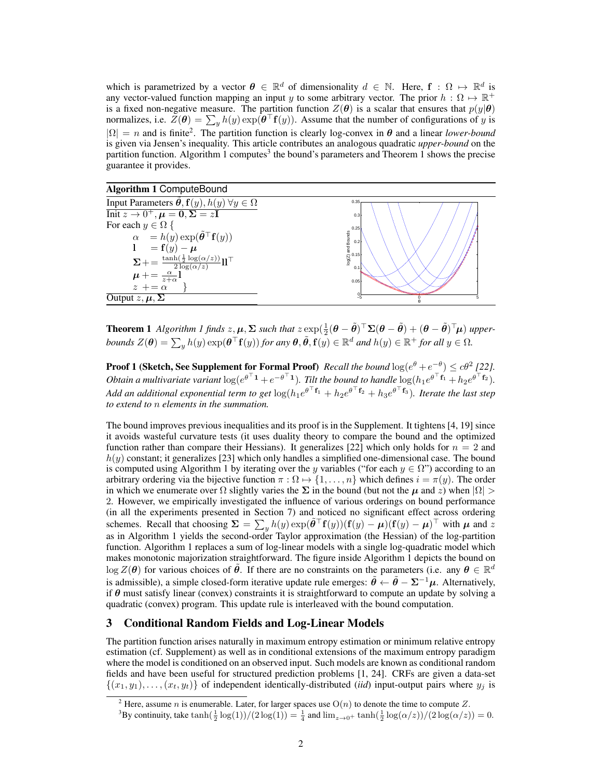which is parametrized by a vector  $\theta \in \mathbb{R}^d$  of dimensionality  $d \in \mathbb{N}$ . Here,  $f : \Omega \mapsto \mathbb{R}^d$  is any vector-valued function mapping an input *y* to some arbitrary vector. The prior  $h : \Omega \mapsto \mathbb{R}^+$ is a fixed non-negative measure. The partition function  $Z(\theta)$  is a scalar that ensures that  $p(y|\theta)$ normalizes, i.e.  $Z(\theta) = \sum_{y} h(y) \exp(\theta | f(y))$ . Assume that the number of configurations of *y* is  $|\Omega| = n$  and is finite<sup>2</sup>. The partition function is clearly log-convex in  $\theta$  and a linear *lower-bound* is given via Jensen's inequality. This article contributes an analogous quadratic *upper-bound* on the partition function. Algorithm 1 computes<sup>3</sup> the bound's parameters and Theorem 1 shows the precise guarantee it provides.

#### Algorithm 1 ComputeBound

| Input Parameters $\theta$ , $f(y)$ , $h(y)$ $\forall y \in \Omega$                                                                                                                | 0.35                |
|-----------------------------------------------------------------------------------------------------------------------------------------------------------------------------------|---------------------|
| Init $z \to 0^+, \mu = 0, \Sigma = z\mathbf{I}$                                                                                                                                   | 0.3                 |
| For each $y \in \Omega$ {                                                                                                                                                         | 0.25                |
| $\alpha = h(y) \exp(\tilde{\theta}^\top f(y))$                                                                                                                                    | $log(Z)$ and Bounds |
| $1 = \mathbf{f}(y) - \mu$                                                                                                                                                         |                     |
| $\Sigma+=\frac{\frac{\tanh(\frac{1}{2}\log(\alpha/z))}{2\log(\alpha/z)} }{2\log(\alpha/z)}\mathbf{1}\mathbf{1}^\top$<br>$\mu+=\frac{\alpha}{z+\alpha}\mathbf{1}$<br>$z\ +=\alpha$ | 0.1                 |
|                                                                                                                                                                                   | 0.05                |
|                                                                                                                                                                                   |                     |
| Output $z, \mu, \Sigma$                                                                                                                                                           |                     |

**Theorem 1** Algorithm 1 finds  $z, \mu, \Sigma$  such that  $z \exp(\frac{1}{2}(\theta - \tilde{\theta})^{\top} \Sigma(\theta - \tilde{\theta}) + (\theta - \tilde{\theta})^{\top} \mu)$  upperbounds  $Z(\bm{\theta}) = \sum_y h(y) \exp(\bm{\theta}^\top \mathbf{f}(y))$  for any  $\bm{\theta}, \tilde{\bm{\theta}}, \mathbf{f}(y) \in \mathbb{R}^d$  and  $h(y) \in \mathbb{R}^+$  for all  $y \in \Omega$ .

**Proof 1 (Sketch, See Supplement for Formal Proof)** *Recall the bound*  $\log(e^{\theta} + e^{-\theta}) \leq c\theta^2$  [22]. Obtain a multivariate variant  $\log(e^{\theta+1}+e^{-\theta+1})$ . Tilt the bound to handle  $\log(h_1e^{\theta+{\bf f}_1}+h_2e^{\theta+{\bf f}_2})$ . *Add an additional exponential term to get*  $log(h_1e^{\theta^+f_1} + h_2e^{\theta^+f_2} + h_3e^{\theta^+f_3})$ *. Iterate the last step to extend to n elements in the summation.*

The bound improves previous inequalities and its proof is in the Supplement. It tightens [4, 19] since it avoids wasteful curvature tests (it uses duality theory to compare the bound and the optimized function rather than compare their Hessians). It generalizes [22] which only holds for  $n = 2$  and *h*(*y*) constant; it generalizes [23] which only handles a simplified one-dimensional case. The bound is computed using Algorithm 1 by iterating over the *y* variables ("for each  $y \in \Omega$ ") according to an arbitrary ordering via the bijective function  $\pi : \Omega \mapsto \{1, \ldots, n\}$  which defines  $i = \pi(y)$ . The order in which we enumerate over  $\Omega$  slightly varies the  $\Sigma$  in the bound (but not the  $\mu$  and *z*) when  $|\Omega|$ 2. However, we empirically investigated the influence of various orderings on bound performance (in all the experiments presented in Section 7) and noticed no significant effect across ordering schemes. Recall that choosing  $\Sigma = \sum_{y} h(y) \exp(\tilde{\theta}^\top \mathbf{f}(y)) (\mathbf{f}(y) - \mu) (\mathbf{f}(y) - \mu)^\top$  with  $\mu$  and *z* as in Algorithm 1 yields the second-order Taylor approximation (the Hessian) of the log-partition function. Algorithm 1 replaces a sum of log-linear models with a single log-quadratic model which makes monotonic majorization straightforward. The figure inside Algorithm 1 depicts the bound on  $\log Z(\theta)$  for various choices of  $\tilde{\theta}$ . If there are no constraints on the parameters (i.e. any  $\theta \in \mathbb{R}^d$ is admissible), a simple closed-form iterative update rule emerges:  $\ddot{\theta} \leftarrow \ddot{\theta} - \Sigma^{-1} \mu$ . Alternatively, if  $\theta$  must satisfy linear (convex) constraints it is straightforward to compute an update by solving a quadratic (convex) program. This update rule is interleaved with the bound computation.

## 3 Conditional Random Fields and Log-Linear Models

The partition function arises naturally in maximum entropy estimation or minimum relative entropy estimation (cf. Supplement) as well as in conditional extensions of the maximum entropy paradigm where the model is conditioned on an observed input. Such models are known as conditional random fields and have been useful for structured prediction problems [1, 24]. CRFs are given a data-set  $\{(x_1, y_1), \ldots, (x_t, y_t)\}$  of independent identically-distributed *(iid)* input-output pairs where  $y_j$  is

<sup>&</sup>lt;sup>2</sup> Here, assume *n* is enumerable. Later, for larger spaces use  $O(n)$  to denote the time to compute *Z*.

<sup>&</sup>lt;sup>3</sup>By continuity, take  $\tanh(\frac{1}{2}\log(1))/(2\log(1)) = \frac{1}{4}$  and  $\lim_{z\to 0^+} \tanh(\frac{1}{2}\log(\alpha/z))/(2\log(\alpha/z)) = 0$ .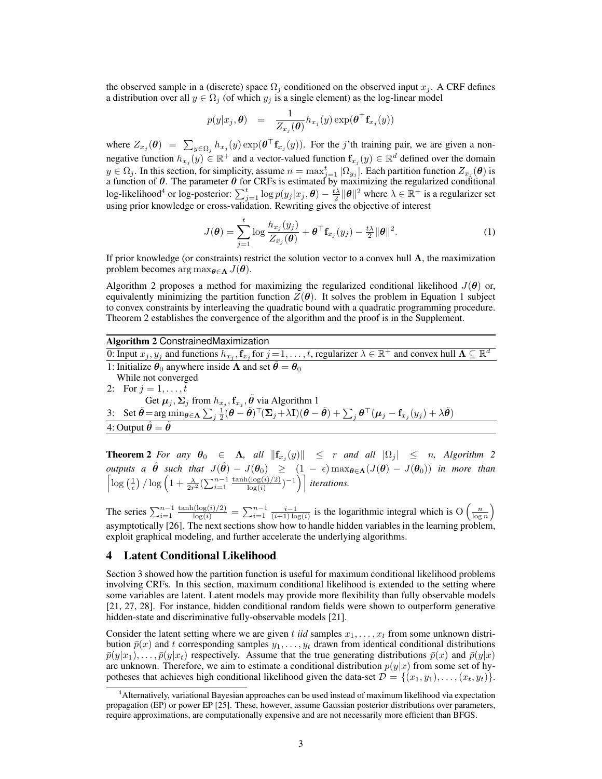the observed sample in a (discrete) space  $\Omega_i$  conditioned on the observed input  $x_i$ . A CRF defines a distribution over all  $y \in \Omega_i$  (of which  $y_i$  is a single element) as the log-linear model

$$
p(y|x_j, \boldsymbol{\theta}) = \frac{1}{Z_{x_j}(\boldsymbol{\theta})} h_{x_j}(y) \exp(\boldsymbol{\theta}^\top \mathbf{f}_{x_j}(y))
$$

where  $Z_{x_j}(\theta) = \sum_{y \in \Omega_j} h_{x_j}(y) \exp(\theta^\top f_{x_j}(y))$ . For the *j*'th training pair, we are given a nonnegative function  $h_{x_j}(y) \in \mathbb{R}^+$  and a vector-valued function  $f_{x_j}(y) \in \mathbb{R}^d$  defined over the domain  $y \in \Omega_j$ . In this section, for simplicity, assume  $n = \max_{j=1}^t |\Omega_{y_j}|$ . Each partition function  $Z_{x_j}(\theta)$  is a function of *θ*. The parameter *θ* for CRFs is estimated by maximizing the regularized conditional log-likelihood<sup>4</sup> or log-posterior:  $\sum_{j=1}^{t} \log p(y_j|x_j, \theta) - \frac{i\lambda}{2} ||\theta||^2$  where  $\lambda \in \mathbb{R}^+$  is a regularizer set using prior knowledge or cross-validation. Rewriting gives the objective of interest

$$
J(\boldsymbol{\theta}) = \sum_{j=1}^{t} \log \frac{h_{x_j}(y_j)}{Z_{x_j}(\boldsymbol{\theta})} + \boldsymbol{\theta}^\top \mathbf{f}_{x_j}(y_j) - \frac{t\lambda}{2} ||\boldsymbol{\theta}||^2.
$$
 (1)

If prior knowledge (or constraints) restrict the solution vector to a convex hull **Λ**, the maximization problem becomes arg max $_{\theta \in \Lambda} J(\theta)$ .

Algorithm 2 proposes a method for maximizing the regularized conditional likelihood  $J(\theta)$  or, equivalently minimizing the partition function  $Z(\theta)$ . It solves the problem in Equation 1 subject to convex constraints by interleaving the quadratic bound with a quadratic programming procedure. Theorem 2 establishes the convergence of the algorithm and the proof is in the Supplement.

## Algorithm 2 ConstrainedMaximization

0: Input  $x_j, y_j$  and functions  $h_{x_j}, \mathbf{f}_{x_j}$  for  $j = 1, \ldots, t$ , regularizer  $\lambda \in \mathbb{R}^+$  and convex hull  $\Lambda \subseteq \mathbb{R}^d$ 1: Initialize  $\theta_0$  anywhere inside  $\Lambda$  and set  $\hat{\theta} = \theta_0$ While not converged 2: For  $j = 1, ..., t$ Get  $\boldsymbol{\mu}_j, \boldsymbol{\Sigma}_j$  from  $h_{x_j}, \mathbf{f}_{x_j}, \tilde{\boldsymbol{\theta}}$  via Algorithm 1 3: Set  $\tilde{\theta} = \arg\min_{\theta \in \Lambda} \sum_j \frac{1}{2} (\theta - \tilde{\theta})^\top (\Sigma_j + \lambda \mathbf{I}) (\theta - \tilde{\theta}) + \sum_j \theta^\top (\mu_j - \mathbf{f}_{x_j}(y_j) + \lambda \tilde{\theta})$ 4: Output  $\hat{\theta} = \tilde{\theta}$ 

Theorem 2 *For any θ*<sup>0</sup> *∈* **Λ***, all ∥***f***<sup>x</sup><sup>j</sup>* (*y*)*∥ ≤ r and all |*Ω*<sup>j</sup> | ≤ n, Algorithm 2*  $\phi$ *utputs a*  $\hat{\theta}$  *such that*  $J(\hat{\theta}) - J(\theta_0) \ge (1 - \epsilon) \max_{\theta \in \Lambda} (J(\theta) - J(\theta_0))$  *in more than*  $\left[\log\left(\frac{1}{\epsilon}\right)/\log\left(1+\frac{\lambda}{2r^2}\left(\sum_{i=1}^{n-1}\frac{\tanh(\log(i)/2)}{\log(i)}\right)\right]\right]$  $\frac{\log(i)}{\log(i)}$ <sup>-1</sup>)<sup>*iterations.*</sup>

The series  $\sum_{i=1}^{n-1} \frac{\tanh(\log(i)/2)}{\log(i)} = \sum_{i=1}^{n-1} \frac{i-1}{(i+1)\log(i)}$  is the logarithmic integral which is  $O\left(\frac{n}{\log n}\right)$ asymptotically [26]. The next sections show how to handle hidden variables in the learning problem, exploit graphical modeling, and further accelerate the underlying algorithms.

#### 4 Latent Conditional Likelihood

Section 3 showed how the partition function is useful for maximum conditional likelihood problems involving CRFs. In this section, maximum conditional likelihood is extended to the setting where some variables are latent. Latent models may provide more flexibility than fully observable models [21, 27, 28]. For instance, hidden conditional random fields were shown to outperform generative hidden-state and discriminative fully-observable models [21].

Consider the latent setting where we are given t *iid* samples  $x_1, \ldots, x_t$  from some unknown distribution  $\bar{p}(x)$  and *t* corresponding samples  $y_1, \ldots, y_t$  drawn from identical conditional distributions  $\bar{p}(y|x_1), \ldots, \bar{p}(y|x_t)$  respectively. Assume that the true generating distributions  $\bar{p}(x)$  and  $\bar{p}(y|x)$ are unknown. Therefore, we aim to estimate a conditional distribution  $p(y|x)$  from some set of hypotheses that achieves high conditional likelihood given the data-set  $\mathcal{D} = \{(x_1, y_1), \dots, (x_t, y_t)\}.$ 

<sup>4</sup>Alternatively, variational Bayesian approaches can be used instead of maximum likelihood via expectation propagation (EP) or power EP [25]. These, however, assume Gaussian posterior distributions over parameters, require approximations, are computationally expensive and are not necessarily more efficient than BFGS.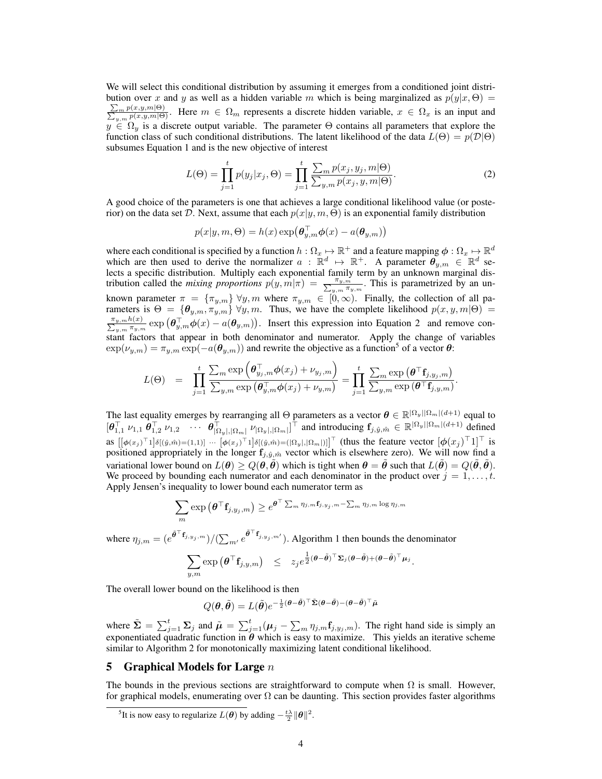We will select this conditional distribution by assuming it emerges from a conditioned joint distribution over x and y as well as a hidden variable m which is being marginalized as  $p(y|x, \Theta)$  =  $\frac{\sum_{m} p(x,y,m|\Theta)}{\sum_{y,m} p(x,y,m|\Theta)}$ . Here  $m \in \Omega_m$  represents a discrete hidden variable,  $x \in \Omega_x$  is an input and  $y \in \Omega_y$  is a discrete output variable. The parameter  $\Theta$  contains all parameters that explore the function class of such conditional distributions. The latent likelihood of the data  $L(\Theta) = p(\mathcal{D}|\Theta)$ subsumes Equation 1 and is the new objective of interest

$$
L(\Theta) = \prod_{j=1}^{t} p(y_j | x_j, \Theta) = \prod_{j=1}^{t} \frac{\sum_m p(x_j, y_j, m | \Theta)}{\sum_{y, m} p(x_j, y, m | \Theta)}.
$$
 (2)

A good choice of the parameters is one that achieves a large conditional likelihood value (or posterior) on the data set *D*. Next, assume that each *p*(*x|y, m,* Θ) is an exponential family distribution

$$
p(x|y,m,\Theta) = h(x) \exp(\boldsymbol{\theta}_{y,m}^{\top} \boldsymbol{\phi}(x) - a(\boldsymbol{\theta}_{y,m}))
$$

where each conditional is specified by a function  $h:\Omega_x\mapsto\R^+$  and a feature mapping  $\phi:\Omega_x\mapsto\R^d$ which are then used to derive the normalizer  $a : \mathbb{R}^d \mapsto \mathbb{R}^+$ . A parameter  $\theta_{y,m} \in \mathbb{R}^d$  selects a specific distribution. Multiply each exponential family term by an unknown marginal distribution called the *mixing proportions*  $p(y, m | \pi) = \frac{\pi_{y, m}}{\sum_{y, m} \pi_{y, m}}$ . This is parametrized by an unknown parameter  $\pi = {\pi_{y,m}} \forall y, m$  where  $\pi_{y,m} \in [0,\infty)$ . Finally, the collection of all parameters is  $\Theta = {\theta_{y,m}, \pi_{y,m}} \forall y, m$ . Thus, we have the complete likelihood  $p(x, y, m | \Theta)$  $\frac{\pi_{y,m}h(x)}{\sum_{y,m}\pi_{y,m}}$  exp  $(\theta_{y,m}^{\top}\phi(x) - a(\theta_{y,m}))$ . Insert this expression into Equation 2 and remove con- $\sum_{y,m}$  stant factors that appear in both denominator and numerator. Apply the change of variables  $\exp(\nu_{y,m}) = \pi_{y,m} \exp(-a(\theta_{y,m}))$  and rewrite the objective as a function<sup>5</sup> of a vector  $\theta$ :

$$
L(\Theta) = \prod_{j=1}^t \frac{\sum_m \exp\left(\boldsymbol{\theta}_{y_j,m}^\top \boldsymbol{\phi}(x_j) + \nu_{y_j,m}\right)}{\sum_{y,m} \exp\left(\boldsymbol{\theta}_{y,m}^\top \boldsymbol{\phi}(x_j) + \nu_{y,m}\right)} = \prod_{j=1}^t \frac{\sum_m \exp\left(\boldsymbol{\theta}^\top \mathbf{f}_{j,y_j,m}\right)}{\sum_{y,m} \exp\left(\boldsymbol{\theta}^\top \mathbf{f}_{j,y,m}\right)}
$$

*.*

The last equality emerges by rearranging all  $\Theta$  parameters as a vector  $\theta \in \mathbb{R}^{|\Omega_y||\Omega_m|(d+1)}$  equal to  $[\theta_{1,1}^{\top} \nu_{1,1} \theta_{1,2}^{\top} \nu_{1,2} \cdots \theta_{|\Omega_y|,|\Omega_m|}^{\top} \nu_{|\Omega_y|,|\Omega_m|}]^{\top}$  and introducing  $f_{j,\hat{y},\hat{m}} \in \mathbb{R}^{|\Omega_y| |\Omega_m| (d+1)}$  defined as  $\left[\left[\phi(x_j)^\top 1\right]\delta\left[(\hat{y},\hat{m})=(1,1)\right] \cdots \left[\phi(x_j)^\top 1\right]\delta\left[(\hat{y},\hat{m})=(|\Omega_y|, |\Omega_m|)\right]\right]^\top$  (thus the feature vector  $\left[\phi(x_j)^\top 1\right]^\top$  is positioned appropriately in the longer  $\mathbf{f}_{j, \hat{y}, \hat{m}}$  vector which is elsewhere zero). We will now find a variational lower bound on  $L(\theta) \ge Q(\theta, \tilde{\theta})$  which is tight when  $\theta = \tilde{\theta}$  such that  $L(\tilde{\theta}) = Q(\tilde{\theta}, \tilde{\theta})$ . We proceed by bounding each numerator and each denominator in the product over  $j = 1, \ldots, t$ . Apply Jensen's inequality to lower bound each numerator term as

$$
\sum_{m} \exp \left( \boldsymbol{\theta}^{\top} \mathbf{f}_{j, y_{j}, m} \right) \geq e^{\boldsymbol{\theta}^{\top} \sum_{m} \eta_{j, m} \mathbf{f}_{j, y_{j}, m} - \sum_{m} \eta_{j, m} \log \eta_{j, m}}
$$

where  $\eta_{j,m} = (e^{\tilde{\theta}^\top \mathbf{f}_{j,y_j,m}})/(\sum_{m'} e^{\tilde{\theta}^\top \mathbf{f}_{j,y_j,m'}})$ . Algorithm 1 then bounds the denominator

$$
\sum_{y,m} \exp \left( \boldsymbol{\theta}^\top \mathbf{f}_{j,y,m} \right) \leq z_j e^{\frac{1}{2} (\boldsymbol{\theta} - \tilde{\boldsymbol{\theta}})^\top \mathbf{\Sigma}_j (\boldsymbol{\theta} - \tilde{\boldsymbol{\theta}}) + (\boldsymbol{\theta} - \tilde{\boldsymbol{\theta}})^\top \boldsymbol{\mu}_j}.
$$

The overall lower bound on the likelihood is then

$$
Q(\boldsymbol{\theta},\tilde{\boldsymbol{\theta}})=L(\tilde{\boldsymbol{\theta}})e^{-\frac{1}{2}(\boldsymbol{\theta}-\tilde{\boldsymbol{\theta}})^\top\tilde{\boldsymbol{\Sigma}}(\boldsymbol{\theta}-\tilde{\boldsymbol{\theta}})-(\boldsymbol{\theta}-\tilde{\boldsymbol{\theta}})^\top\tilde{\boldsymbol{\mu}}}
$$

where  $\tilde{\Sigma} = \sum_{j=1}^{t} \Sigma_j$  and  $\tilde{\mu} = \sum_{j=1}^{t} (\mu_j - \sum_m \eta_{j,m} \mathbf{f}_{j,y_j,m})$ . The right hand side is simply an exponentiated quadratic function in  $\theta$  which is easy to maximize. This yields an iterative scheme similar to Algorithm 2 for monotonically maximizing latent conditional likelihood.

## 5 Graphical Models for Large *n*

The bounds in the previous sections are straightforward to compute when  $\Omega$  is small. However, for graphical models, enumerating over  $\Omega$  can be daunting. This section provides faster algorithms

<sup>&</sup>lt;sup>5</sup>It is now easy to regularize  $L(\theta)$  by adding  $-\frac{t\lambda}{2} ||\theta||^2$ .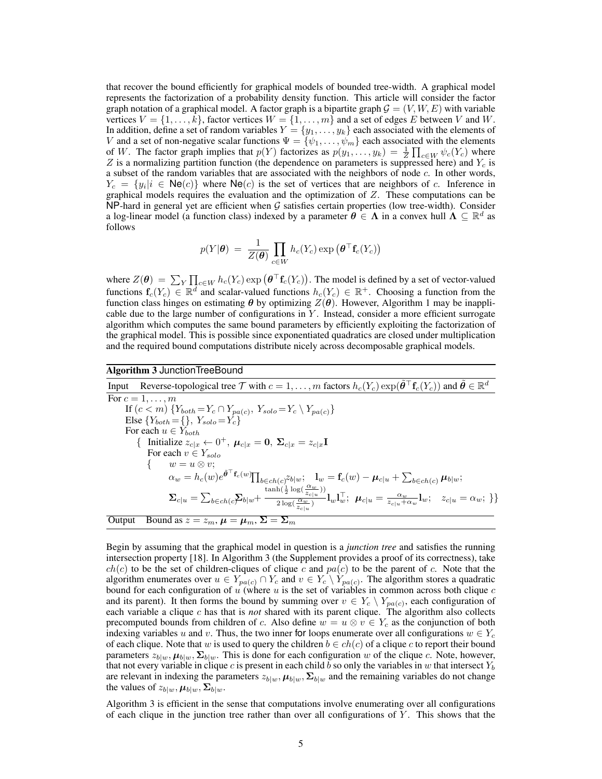that recover the bound efficiently for graphical models of bounded tree-width. A graphical model represents the factorization of a probability density function. This article will consider the factor graph notation of a graphical model. A factor graph is a bipartite graph  $\mathcal{G} = (V, W, E)$  with variable vertices  $V = \{1, \ldots, k\}$ , factor vertices  $W = \{1, \ldots, m\}$  and a set of edges *E* between *V* and *W*. In addition, define a set of random variables  $Y = \{y_1, \ldots, y_k\}$  each associated with the elements of *V* and a set of non-negative scalar functions  $\Psi = {\psi_1, \ldots, \psi_m}$  each associated with the elements of *W*. The factor graph implies that  $p(Y)$  factorizes as  $p(y_1, \ldots, y_k) = \frac{1}{Z} \prod_{c \in W} \psi_c(Y_c)$  where  $Z$  is a normalizing partition function (the dependence as  $p(y_1, \ldots, y_k) = \frac{1}{Z} \prod_{c \in W} \psi_c(Y_c)$ *Z* is a normalizing partition function (the dependence on parameters is suppressed here) and *Y<sup>c</sup>* is a subset of the random variables that are associated with the neighbors of node *c*. In other words,  $Y_c = \{y_i | i \in \text{Ne}(c)\}\$  where  $\text{Ne}(c)$  is the set of vertices that are neighbors of *c*. Inference in graphical models requires the evaluation and the optimization of *Z*. These computations can be NP-hard in general yet are efficient when *G* satisfies certain properties (low tree-width). Consider a log-linear model (a function class) indexed by a parameter  $\theta \in \Lambda$  in a convex hull  $\Lambda \subseteq \mathbb{R}^d$  as follows

$$
p(Y|\boldsymbol{\theta}) = \frac{1}{Z(\boldsymbol{\theta})} \prod_{c \in W} h_c(Y_c) \exp (\boldsymbol{\theta}^\top \mathbf{f}_c(Y_c))
$$

where  $Z(\theta) = \sum_{Y} \prod_{c \in W} h_c(Y_c) \exp (\theta^\top \mathbf{f}_c(Y_c))$ . The model is defined by a set of vector-valued functions  $f_c(Y_c) \in \mathbb{R}^d$  and scalar-valued functions  $h_c(Y_c) \in \mathbb{R}^+$ . Choosing a function from the function class hinges on estimating  $\theta$  by optimizing  $Z(\theta)$ . However, Algorithm 1 may be inapplicable due to the large number of configurations in *Y* . Instead, consider a more efficient surrogate algorithm which computes the same bound parameters by efficiently exploiting the factorization of the graphical model. This is possible since exponentiated quadratics are closed under multiplication and the required bound computations distribute nicely across decomposable graphical models.

#### Algorithm 3 JunctionTreeBound

Input Reverse-topological tree  $\mathcal T$  with  $c = 1, \ldots, m$  factors  $h_c(Y_c) \exp(\tilde{\theta}^\top \mathbf{f}_c(Y_c))$  and  $\tilde{\theta} \in \mathbb R^d$ For  $c = 1, \ldots, m$  $\text{If } (c < m) \{ Y_{both} = Y_c \cap Y_{pa(c)}, \ Y_{solo} = Y_c \setminus Y_{pa(c)} \}$  $E$ lse  ${Y_{both} = }\$ ,  ${Y_{solo} = Y_c}$ For each  $u \in Y_{both}$  $\{$  **Initialize**  $z_{c|x} \leftarrow 0^+, \mu_{c|x} = 0, \ \Sigma_{c|x} = z_{c|x}$ **I** For each *v ∈ Ysolo { w* = *u ⊗ v*;  $\alpha_w = h_c(w) e^{\tilde{\boldsymbol{\theta}}^\top \mathbf{f}_c(w)} \prod_{b \in ch(c)} z_{b|w} ; \ \ \mathbf{l}_w = \mathbf{f}_c(w) - \boldsymbol{\mu}_{c|u} + \sum_{b \in ch(c)} \boldsymbol{\mu}_{b|w} ;$  $\mathbf{\Sigma}_{c|u} = \sum_{b \in ch(c} \sum_{b|w} \frac{\tanh(\frac{1}{2}\log(\frac{\alpha_w}{z_{c|u}}))}{2\log(\frac{\alpha_w}{z})}$  $\frac{\alpha_{\rm v} \cdot 2 \cdot \alpha_{\rm v} \cdot z_{c|u}\,\prime\prime}{2\log(\frac{\alpha_w}{z_{c|u}})}{\bf l}_w{\bf l}_w^\top;~~\boldsymbol{\mu}_{c|u}=\frac{\alpha_w}{z_{c|u}+\alpha_w}{\bf l}_w;~~~z_{c|u}=\alpha_w;~\}\}$ Output Bound as  $z = z_m$ ,  $\mu = \mu_m$ ,  $\Sigma = \Sigma_m$ 

Begin by assuming that the graphical model in question is a *junction tree* and satisfies the running intersection property [18]. In Algorithm 3 (the Supplement provides a proof of its correctness), take  $ch(c)$  to be the set of children-cliques of clique *c* and  $pa(c)$  to be the parent of *c*. Note that the algorithm enumerates over  $u \in Y_{pa(c)} \cap Y_c$  and  $v \in Y_c \setminus Y_{pa(c)}$ . The algorithm stores a quadratic bound for each configuration of *u* (where *u* is the set of variables in common across both clique *c* and its parent). It then forms the bound by summing over  $v \in Y_c \setminus Y_{pa(c)}$ , each configuration of each variable a clique *c* has that is *not* shared with its parent clique. The algorithm also collects precomputed bounds from children of *c*. Also define  $w = u \otimes v \in Y_c$  as the conjunction of both indexing variables *u* and *v*. Thus, the two inner for loops enumerate over all configurations  $w \in Y_c$ of each clique. Note that *w* is used to query the children  $b \in ch(c)$  of a clique *c* to report their bound parameters  $z_{b/w}$ ,  $\mu_{b/w}$ ,  $\Sigma_{b/w}$ . This is done for each configuration *w* of the clique *c*. Note, however, that not every variable in clique  $c$  is present in each child  $b$  so only the variables in  $w$  that intersect  $Y_b$ are relevant in indexing the parameters  $z_{b|w}$ ,  $\mu_{b|w}$ ,  $\Sigma_{b|w}$  and the remaining variables do not change the values of  $z_{b|w}$ ,  $\mu_{b|w}$ ,  $\Sigma_{b|w}$ .

Algorithm 3 is efficient in the sense that computations involve enumerating over all configurations of each clique in the junction tree rather than over all configurations of *Y* . This shows that the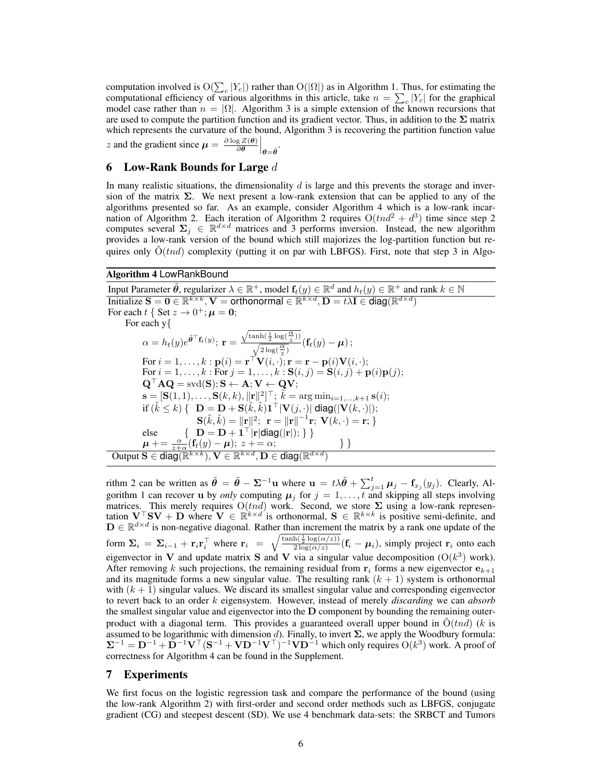computation involved is  $O(\sum_{c} |Y_c|)$  rather than  $O(|\Omega|)$  as in Algorithm 1. Thus, for estimating the computational efficiency of various algorithms in this article, take  $n = \sum_{c} |Y_c|$  for the graphical model case rather than  $n = |\Omega|$ . Algorithm 3 is a simple extension of the known recursions that are used to compute the partition function and its gradient vector. Thus, in addition to the **Σ** matrix which represents the curvature of the bound, Algorithm 3 is recovering the partition function value *z* and the gradient since  $\mu = \frac{\partial \log Z(\theta)}{\partial \theta}$  $\frac{g Z(\theta)}{\partial \theta}$ *θ*=*θ*˜ .

## 6 Low-Rank Bounds for Large *d*

In many realistic situations, the dimensionality *d* is large and this prevents the storage and inversion of the matrix  $\Sigma$ . We next present a low-rank extension that can be applied to any of the algorithms presented so far. As an example, consider Algorithm 4 which is a low-rank incarnation of Algorithm 2. Each iteration of Algorithm 2 requires  $O(tnd^2 + d^3)$  time since step 2 computes several  $\Sigma_j \in \mathbb{R}^{d \times d}$  matrices and 3 performs inversion. Instead, the new algorithm provides a low-rank version of the bound which still majorizes the log-partition function but requires only  $O(tnd)$  complexity (putting it on par with LBFGS). First, note that step 3 in Algo-

## Algorithm 4 LowRankBound

Input Parameter  $\tilde{\theta}$ , regularizer  $\lambda \in \mathbb{R}^+$ , model  $\mathbf{f}_t(y) \in \mathbb{R}^d$  and  $h_t(y) \in \mathbb{R}^+$  and rank  $k \in \mathbb{N}$  $\text{Initialize } \mathbf{S} = \mathbf{0} \in \mathbb{R}^{k \times k}, \mathbf{V} = \text{orthonormal} \in \mathbb{R}^{k \times d}, \mathbf{D} = t\lambda \mathbf{I} \in \text{diag}(\mathbb{R}^{d \times d})$ For each  $t \{$  Set  $z \rightarrow 0^+; \mu = 0;$ For each y*{*  $\alpha = h_t(y)e^{\tilde{\boldsymbol{\theta}}^\top \mathbf{f}_t(y)}$ ;  $\mathbf{r} =$  $\sqrt{\tanh(\frac{1}{2}\log(\frac{\alpha}{z}))}$  $\frac{\sinh(\frac{1}{2}\log(\frac{\alpha}{z}))}{\sqrt{2\log(\frac{\alpha}{z})}}(\mathbf{f}_t(y)-\boldsymbol{\mu});$  $\text{For } i = 1, \ldots, k : \mathbf{p}(i) = \mathbf{r}^\top \mathbf{V}(i, \cdot); \mathbf{r} = \mathbf{r} - \mathbf{p}(i)\mathbf{V}(i, \cdot);$ For  $i = 1, ..., k$  : For  $j = 1, ..., k$  :  $S(i, j) = S(i, j) + p(i)p(j);$  $\mathbf{Q}^\top \mathbf{A} \mathbf{Q} = \text{svd}(\mathbf{S}); \mathbf{S} \leftarrow \mathbf{A}; \mathbf{V} \leftarrow \mathbf{Q} \mathbf{V};$  $\mathbf{s} = [\mathbf{S}(1,1), \ldots, \mathbf{S}(k,k), \|\mathbf{r}\|^2]^\top; \ \tilde{k} = \arg \min_{i=1,\ldots,k+1} \mathbf{s}(i);$  $\textbf{if } (\tilde{k} \leq k) \left\{ \textbf{D} = \textbf{D} + \textbf{S}(\tilde{k}, \tilde{k}) \textbf{1}^\top |\textbf{V}(j, \cdot)| \text{ diag}(|\textbf{V}(k, \cdot)|); \right\}$  $\mathbf{S}(\tilde{k}, \tilde{k}) = \|\mathbf{r}\|^2; \; \mathbf{r} = \|\mathbf{r}\|^{-1}\mathbf{r}; \; \mathbf{V}(k, \cdot) = \mathbf{r}; \}$ else  $\{ \mathbf{D} = \mathbf{D} + \mathbf{1}^{\top} | \mathbf{r} | \text{diag}(|\mathbf{r}|); \} \}$  $\mu$  + =  $\frac{\alpha}{z+\alpha}$  (**f**<sub>t</sub>(*y*) *−*  $\mu$ ); *z* + = *α*; } }  $\mathbf{Output} \ \mathbf{S} \in \mathsf{diag}(\mathbb{R}^{k \times k}), \mathbf{V} \in \mathbb{R}^{k \times d}, \mathbf{D} \in \mathsf{diag}(\mathbb{R}^{d \times d})$ 

rithm 2 can be written as  $\tilde{\theta} = \tilde{\theta} - \Sigma^{-1} \mathbf{u}$  where  $\mathbf{u} = t\lambda \tilde{\theta} + \sum_{j=1}^{t} \mu_j - \mathbf{f}_{x_j}(y_j)$ . Clearly, Algorithm 1 can recover **u** by *only* computing  $\mu_j$  for  $j = 1, \ldots, t$  and skipping all steps involving matrices. This merely requires  $O(tnd)$  work. Second, we store  $\Sigma$  using a low-rank representation  $V^{\top}SV + D$  where  $V \in \mathbb{R}^{k \times d}$  is orthonormal,  $S \in \mathbb{R}^{k \times k}$  is positive semi-definite, and **D** ∈  $\mathbb{R}^{d \times d}$  is non-negative diagonal. Rather than increment the matrix by a rank one update of the form  $\Sigma_i = \Sigma_{i-1} + \mathbf{r}_i \mathbf{r}_i^\top$  where  $\mathbf{r}_i = \sqrt{\frac{\tanh(\frac{1}{2}\log(\alpha/z))}{2\log(\alpha/z)}}$  $\frac{\ln(\frac{\pi}{2} \log(\alpha/z))}{2 \log(\alpha/z)} (\mathbf{f}_i - \boldsymbol{\mu}_i)$ , simply project  $\mathbf{r}_i$  onto each eigenvector in **V** and update matrix **S** and **V** via a singular value decomposition  $(O(k^3)$  work). 3 After removing *k* such projections, the remaining residual from  $\mathbf{r}_i$  forms a new eigenvector  $\mathbf{e}_{k+1}$ and its magnitude forms a new singular value. The resulting rank  $(k + 1)$  system is orthonormal with  $(k + 1)$  singular values. We discard its smallest singular value and corresponding eigenvector to revert back to an order *k* eigensystem. However, instead of merely *discarding* we can *absorb* the smallest singular value and eigenvector into the **D** component by bounding the remaining outerproduct with a diagonal term. This provides a guaranteed overall upper bound in  $O(tnd)$  ( $k$  is assumed to be logarithmic with dimension  $d$ ). Finally, to invert  $\Sigma$ , we apply the Woodbury formula:  $\Sigma^{-1} = \mathbf{D}^{-1} + \mathbf{D}^{-1}\mathbf{V}^\top (\mathbf{S}^{-1} + \mathbf{V}\mathbf{D}^{-1}\mathbf{V}^\top)^{-1}\mathbf{V}\mathbf{D}^{-1}$  which only requires  $O(k^3)$  work. A proof of correctness for Algorithm 4 can be found in the Supplement.

## 7 Experiments

We first focus on the logistic regression task and compare the performance of the bound (using the low-rank Algorithm 2) with first-order and second order methods such as LBFGS, conjugate gradient (CG) and steepest descent (SD). We use 4 benchmark data-sets: the SRBCT and Tumors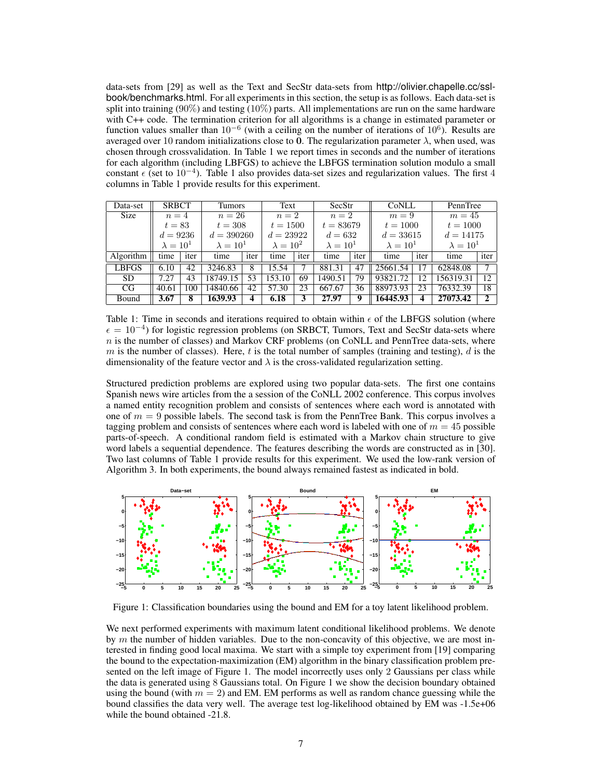data-sets from [29] as well as the Text and SecStr data-sets from http://olivier.chapelle.cc/sslbook/benchmarks.html. For all experiments in this section, the setup is as follows. Each data-set is split into training  $(90\%)$  and testing  $(10\%)$  parts. All implementations are run on the same hardware with C++ code. The termination criterion for all algorithms is a change in estimated parameter or function values smaller than 10<sup>-6</sup> (with a ceiling on the number of iterations of 10<sup>6</sup>). Results are averaged over 10 random initializations close to **0**. The regularization parameter *λ*, when used, was chosen through crossvalidation. In Table 1 we report times in seconds and the number of iterations for each algorithm (including LBFGS) to achieve the LBFGS termination solution modulo a small constant *ϵ* (set to 10*−*<sup>4</sup> ). Table 1 also provides data-set sizes and regularization values. The first 4 columns in Table 1 provide results for this experiment.

| Data-set     | <b>SRBCT</b>     |      | Tumors           |      | Text             |                  | SecStr      |      | CoNLL            |      | PennTree         |      |
|--------------|------------------|------|------------------|------|------------------|------------------|-------------|------|------------------|------|------------------|------|
| <b>Size</b>  | $n=4$            |      | $n=26$           |      | $n=2$            |                  | $n=2$       |      | $m=9$            |      | $m=45$           |      |
|              | $t=83$           |      | $t=308$          |      | $t = 1500$       |                  | $t = 83679$ |      | $t = 1000$       |      | $t = 1000$       |      |
|              | $d = 9236$       |      | $d = 390260$     |      | $d = 23922$      |                  | $d = 632$   |      | $d = 33615$      |      | $d = 14175$      |      |
|              | $\lambda = 10^1$ |      | $\lambda = 10^1$ |      | $\lambda = 10^2$ | $\lambda = 10^1$ |             |      | $\lambda = 10^1$ |      | $\lambda = 10^1$ |      |
| Algorithm    | time             | iter | time             | iter | time             | iter             | time        | iter | time             | iter | time             | iter |
| <b>LBFGS</b> | 6.10             | 42   | 3246.83          | 8    | 15.54            |                  | 881.31      | 47   | 25661.54         | 17   | 62848.08         |      |
| <b>SD</b>    | 7.27             | 43   | 18749.15         | 53   | 153.10           | 69               | 1490.51     | 79   | 93821.72         | 12   | 156319.31        | 12   |
| CG           | 40.61            | 100  | 14840.66         | 42   | 57.30            | 23               | 667.67      | 36   | 88973.93         | 23   | 76332.39         | 18   |
| Bound        | 3.67             | 8    | 1639.93          | 4    | 6.18             |                  | 27.97       | 9    | 16445.93         | 4    | 27073.42         | 2    |

Table 1: Time in seconds and iterations required to obtain within *ϵ* of the LBFGS solution (where *ϵ* = 10*−*<sup>4</sup> ) for logistic regression problems (on SRBCT, Tumors, Text and SecStr data-sets where *n* is the number of classes) and Markov CRF problems (on CoNLL and PennTree data-sets, where  $m$  is the number of classes). Here,  $t$  is the total number of samples (training and testing),  $d$  is the dimensionality of the feature vector and  $\lambda$  is the cross-validated regularization setting.

Structured prediction problems are explored using two popular data-sets. The first one contains Spanish news wire articles from the a session of the CoNLL 2002 conference. This corpus involves a named entity recognition problem and consists of sentences where each word is annotated with one of  $m = 9$  possible labels. The second task is from the PennTree Bank. This corpus involves a tagging problem and consists of sentences where each word is labeled with one of  $m = 45$  possible parts-of-speech. A conditional random field is estimated with a Markov chain structure to give word labels a sequential dependence. The features describing the words are constructed as in [30]. Two last columns of Table 1 provide results for this experiment. We used the low-rank version of Algorithm 3. In both experiments, the bound always remained fastest as indicated in bold.



Figure 1: Classification boundaries using the bound and EM for a toy latent likelihood problem.

We next performed experiments with maximum latent conditional likelihood problems. We denote by *m* the number of hidden variables. Due to the non-concavity of this objective, we are most interested in finding good local maxima. We start with a simple toy experiment from [19] comparing the bound to the expectation-maximization (EM) algorithm in the binary classification problem presented on the left image of Figure 1. The model incorrectly uses only 2 Gaussians per class while the data is generated using 8 Gaussians total. On Figure 1 we show the decision boundary obtained using the bound (with  $m = 2$ ) and EM. EM performs as well as random chance guessing while the bound classifies the data very well. The average test log-likelihood obtained by EM was -1.5e+06 while the bound obtained -21.8.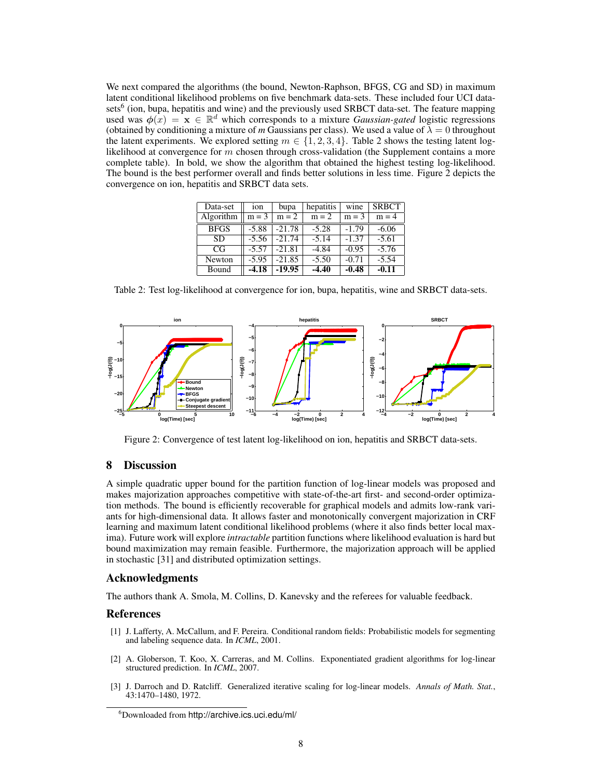We next compared the algorithms (the bound, Newton-Raphson, BFGS, CG and SD) in maximum latent conditional likelihood problems on five benchmark data-sets. These included four UCI datasets<sup>6</sup> (ion, bupa, hepatitis and wine) and the previously used SRBCT data-set. The feature mapping used was  $\phi(x) = \mathbf{x} \in \mathbb{R}^d$  which corresponds to a mixture *Gaussian-gated* logistic regressions (obtained by conditioning a mixture of *m* Gaussians per class). We used a value of  $\lambda = 0$  throughout the latent experiments. We explored setting  $m \in \{1, 2, 3, 4\}$ . Table 2 shows the testing latent loglikelihood at convergence for *m* chosen through cross-validation (the Supplement contains a more complete table). In bold, we show the algorithm that obtained the highest testing log-likelihood. The bound is the best performer overall and finds better solutions in less time. Figure 2 depicts the convergence on ion, hepatitis and SRBCT data sets.

| Data-set    | ion     | bupa     | hepatitis | wine    | <b>SRBCT</b> |
|-------------|---------|----------|-----------|---------|--------------|
| Algorithm   | $m = 3$ | $m = 2$  | $m = 2$   | $m = 3$ | $m = 4$      |
| <b>BFGS</b> | $-5.88$ | $-21.78$ | $-5.28$   | $-1.79$ | $-6.06$      |
| <b>SD</b>   | $-5.56$ | $-21.74$ | $-5.14$   | $-1.37$ | $-5.61$      |
| CG          | $-5.57$ | $-21.81$ | $-4.84$   | $-0.95$ | $-5.76$      |
| Newton      | $-5.95$ | $-21.85$ | $-5.50$   | $-0.71$ | $-5.54$      |
| Bound       | -4.18   | $-19.95$ | $-4.40$   | $-0.48$ | $-0.11$      |

Table 2: Test log-likelihood at convergence for ion, bupa, hepatitis, wine and SRBCT data-sets.



Figure 2: Convergence of test latent log-likelihood on ion, hepatitis and SRBCT data-sets.

## 8 Discussion

A simple quadratic upper bound for the partition function of log-linear models was proposed and makes majorization approaches competitive with state-of-the-art first- and second-order optimization methods. The bound is efficiently recoverable for graphical models and admits low-rank variants for high-dimensional data. It allows faster and monotonically convergent majorization in CRF learning and maximum latent conditional likelihood problems (where it also finds better local maxima). Future work will explore *intractable* partition functions where likelihood evaluation is hard but bound maximization may remain feasible. Furthermore, the majorization approach will be applied in stochastic [31] and distributed optimization settings.

## Acknowledgments

The authors thank A. Smola, M. Collins, D. Kanevsky and the referees for valuable feedback.

## References

- [1] J. Lafferty, A. McCallum, and F. Pereira. Conditional random fields: Probabilistic models for segmenting and labeling sequence data. In *ICML*, 2001.
- [2] A. Globerson, T. Koo, X. Carreras, and M. Collins. Exponentiated gradient algorithms for log-linear structured prediction. In *ICML*, 2007.
- [3] J. Darroch and D. Ratcliff. Generalized iterative scaling for log-linear models. *Annals of Math. Stat.*, 43:1470–1480, 1972.

<sup>6</sup>Downloaded from http://archive.ics.uci.edu/ml/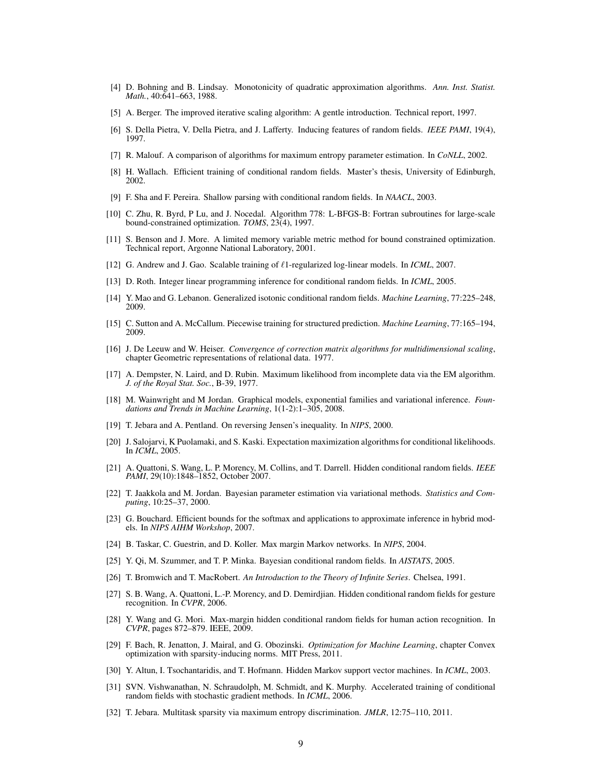- [4] D. Bohning and B. Lindsay. Monotonicity of quadratic approximation algorithms. *Ann. Inst. Statist. Math.*, 40:641–663, 1988.
- [5] A. Berger. The improved iterative scaling algorithm: A gentle introduction. Technical report, 1997.
- [6] S. Della Pietra, V. Della Pietra, and J. Lafferty. Inducing features of random fields. *IEEE PAMI*, 19(4), 1997.
- [7] R. Malouf. A comparison of algorithms for maximum entropy parameter estimation. In *CoNLL*, 2002.
- [8] H. Wallach. Efficient training of conditional random fields. Master's thesis, University of Edinburgh, 2002.
- [9] F. Sha and F. Pereira. Shallow parsing with conditional random fields. In *NAACL*, 2003.
- [10] C. Zhu, R. Byrd, P Lu, and J. Nocedal. Algorithm 778: L-BFGS-B: Fortran subroutines for large-scale bound-constrained optimization. *TOMS*, 23(4), 1997.
- [11] S. Benson and J. More. A limited memory variable metric method for bound constrained optimization. Technical report, Argonne National Laboratory, 2001.
- [12] G. Andrew and J. Gao. Scalable training of *ℓ*1-regularized log-linear models. In *ICML*, 2007.
- [13] D. Roth. Integer linear programming inference for conditional random fields. In *ICML*, 2005.
- [14] Y. Mao and G. Lebanon. Generalized isotonic conditional random fields. *Machine Learning*, 77:225–248, 2009.
- [15] C. Sutton and A. McCallum. Piecewise training for structured prediction. *Machine Learning*, 77:165–194, 2009.
- [16] J. De Leeuw and W. Heiser. *Convergence of correction matrix algorithms for multidimensional scaling*, chapter Geometric representations of relational data. 1977.
- [17] A. Dempster, N. Laird, and D. Rubin. Maximum likelihood from incomplete data via the EM algorithm. *J. of the Royal Stat. Soc.*, B-39, 1977.
- [18] M. Wainwright and M Jordan. Graphical models, exponential families and variational inference. *Foundations and Trends in Machine Learning*, 1(1-2):1–305, 2008.
- [19] T. Jebara and A. Pentland. On reversing Jensen's inequality. In *NIPS*, 2000.
- [20] J. Salojarvi, K Puolamaki, and S. Kaski. Expectation maximization algorithms for conditional likelihoods. In *ICML*, 2005.
- [21] A. Quattoni, S. Wang, L. P. Morency, M. Collins, and T. Darrell. Hidden conditional random fields. *IEEE PAMI*, 29(10):1848–1852, October 2007.
- [22] T. Jaakkola and M. Jordan. Bayesian parameter estimation via variational methods. *Statistics and Computing*, 10:25–37, 2000.
- [23] G. Bouchard. Efficient bounds for the softmax and applications to approximate inference in hybrid models. In *NIPS AIHM Workshop*, 2007.
- [24] B. Taskar, C. Guestrin, and D. Koller. Max margin Markov networks. In *NIPS*, 2004.
- [25] Y. Qi, M. Szummer, and T. P. Minka. Bayesian conditional random fields. In *AISTATS*, 2005.
- [26] T. Bromwich and T. MacRobert. *An Introduction to the Theory of Infinite Series*. Chelsea, 1991.
- [27] S. B. Wang, A. Quattoni, L.-P. Morency, and D. Demirdjian. Hidden conditional random fields for gesture recognition. In *CVPR*, 2006.
- [28] Y. Wang and G. Mori. Max-margin hidden conditional random fields for human action recognition. In *CVPR*, pages 872–879. IEEE, 2009.
- [29] F. Bach, R. Jenatton, J. Mairal, and G. Obozinski. *Optimization for Machine Learning*, chapter Convex optimization with sparsity-inducing norms. MIT Press, 2011.
- [30] Y. Altun, I. Tsochantaridis, and T. Hofmann. Hidden Markov support vector machines. In *ICML*, 2003.
- [31] SVN. Vishwanathan, N. Schraudolph, M. Schmidt, and K. Murphy. Accelerated training of conditional random fields with stochastic gradient methods. In *ICML*, 2006.
- [32] T. Jebara. Multitask sparsity via maximum entropy discrimination. *JMLR*, 12:75–110, 2011.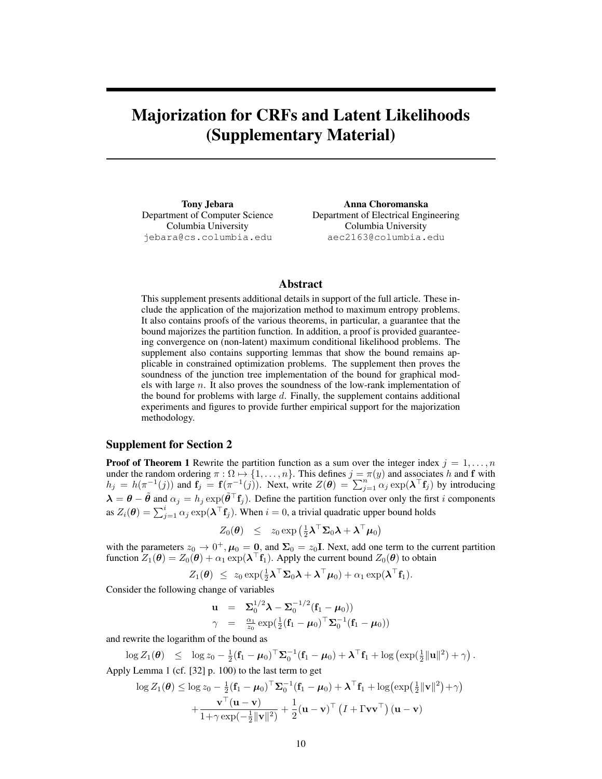# Majorization for CRFs and Latent Likelihoods (Supplementary Material)

Tony Jebara **Anna Choromanska** Department of Computer Science Department of Electrical Engineering Columbia University Columbia University jebara@cs.columbia.edu aec2163@columbia.edu

## Abstract

This supplement presents additional details in support of the full article. These include the application of the majorization method to maximum entropy problems. It also contains proofs of the various theorems, in particular, a guarantee that the bound majorizes the partition function. In addition, a proof is provided guaranteeing convergence on (non-latent) maximum conditional likelihood problems. The supplement also contains supporting lemmas that show the bound remains applicable in constrained optimization problems. The supplement then proves the soundness of the junction tree implementation of the bound for graphical models with large *n*. It also proves the soundness of the low-rank implementation of the bound for problems with large *d*. Finally, the supplement contains additional experiments and figures to provide further empirical support for the majorization methodology.

## Supplement for Section 2

**Proof of Theorem 1** Rewrite the partition function as a sum over the integer index  $j = 1, \ldots, n$ under the random ordering  $\pi : \Omega \mapsto \{1, \ldots, n\}$ . This defines  $j = \pi(y)$  and associates *h* and **f** with  $h_j = h(\pi^{-1}(j))$  and  $\mathbf{f}_j = \mathbf{f}(\pi^{-1}(j))$ . Next, write  $Z(\theta) = \sum_{j=1}^n \alpha_j \exp(\lambda^\top \mathbf{f}_j)$  by introducing  $\lambda = \theta - \tilde{\theta}$  and  $\alpha_j = h_j \exp(\tilde{\theta}^\top f_j)$ . Define the partition function over only the first *i* components as  $Z_i(\theta) = \sum_{j=1}^i \alpha_j \exp(\lambda^\top f_j)$ . When  $i = 0$ , a trivial quadratic upper bound holds

$$
Z_0(\boldsymbol{\theta}) \leq z_0 \exp\left(\tfrac{1}{2}\boldsymbol{\lambda}^\top\boldsymbol{\Sigma}_0\boldsymbol{\lambda} + \boldsymbol{\lambda}^\top\boldsymbol{\mu}_0\right)
$$

with the parameters  $z_0 \to 0^+, \mu_0 = \mathbf{0}$ , and  $\mathbf{\Sigma}_0 = z_0 \mathbf{I}$ . Next, add one term to the current partition function  $Z_1(\theta) = Z_0(\theta) + \alpha_1 \exp(\lambda^\top \mathbf{f}_1)$ . Apply the current bound  $Z_0(\theta)$  to obtain

$$
Z_1(\boldsymbol{\theta}) \ \leq \ z_0 \exp(\tfrac{1}{2}\boldsymbol{\lambda}^\top \boldsymbol{\Sigma}_0 \boldsymbol{\lambda} + \boldsymbol{\lambda}^\top \boldsymbol{\mu}_0) + \alpha_1 \exp(\boldsymbol{\lambda}^\top \mathbf{f}_1).
$$

Consider the following change of variables

$$
\mathbf{u} = \Sigma_0^{1/2} \boldsymbol{\lambda} - \Sigma_0^{-1/2} (\mathbf{f}_1 - \boldsymbol{\mu}_0))
$$
  
\n
$$
\gamma = \frac{\alpha_1}{z_0} \exp(\frac{1}{2} (\mathbf{f}_1 - \boldsymbol{\mu}_0)^{\top} \Sigma_0^{-1} (\mathbf{f}_1 - \boldsymbol{\mu}_0))
$$

and rewrite the logarithm of the bound as

 $\log Z_1(\theta) \leq \log z_0 - \frac{1}{2}(\mathbf{f}_1 - \boldsymbol{\mu}_0)^\top \mathbf{\Sigma}_0^{-1}(\mathbf{f}_1 - \boldsymbol{\mu}_0) + \boldsymbol{\lambda}^\top \mathbf{f}_1 + \log (\exp(\frac{1}{2}||\mathbf{u}||^2) + \gamma).$ Apply Lemma 1 (cf. [32] p. 100) to the last term to get

$$
\log Z_1(\boldsymbol{\theta}) \le \log z_0 - \frac{1}{2} (\mathbf{f}_1 - \boldsymbol{\mu}_0)^\top \boldsymbol{\Sigma}_0^{-1} (\mathbf{f}_1 - \boldsymbol{\mu}_0) + \boldsymbol{\lambda}^\top \mathbf{f}_1 + \log(\exp(\frac{1}{2} ||\mathbf{v}||^2) + \gamma) + \frac{\mathbf{v}^\top (\mathbf{u} - \mathbf{v})}{1 + \gamma \exp(-\frac{1}{2} ||\mathbf{v}||^2)} + \frac{1}{2} (\mathbf{u} - \mathbf{v})^\top (I + \Gamma \mathbf{v} \mathbf{v}^\top) (\mathbf{u} - \mathbf{v})
$$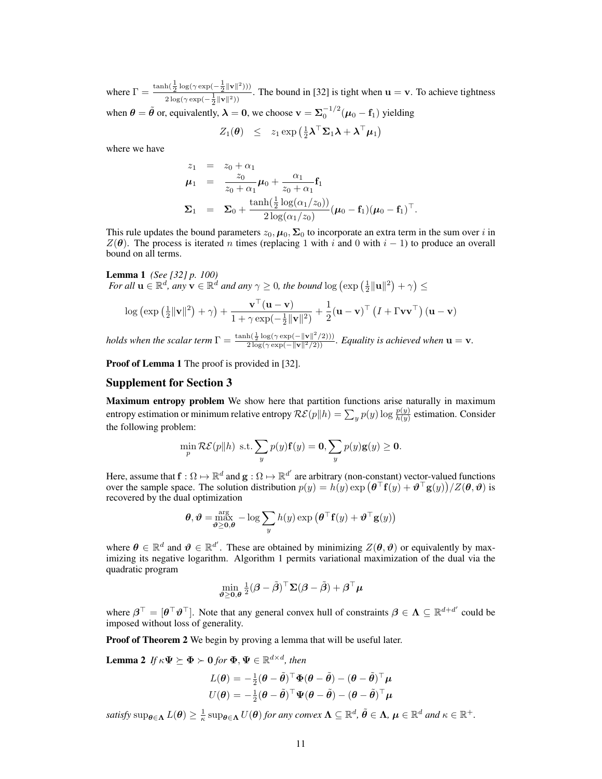where  $\Gamma = \frac{\tanh(\frac{1}{2}\log(\gamma \exp(-\frac{1}{2}||\mathbf{v}||^2)))}{\sqrt{2\pi i}}$  $\frac{u_1 \cdot 2^{u_2} \cdot u_3 + v_4}{2 \cdot u_3 \cdot u_1 + u_2 \cdot u_2}$ . The bound in [32] is tight when **u** = **v**. To achieve tightness when  $\theta = \tilde{\theta}$  or, equivalently,  $\lambda = 0$ , we choose  $\mathbf{v} = \Sigma_0^{-1/2}(\mu_0 - \mathbf{f}_1)$  yielding

$$
Z_1(\boldsymbol{\theta}) \;\; \leq \;\; z_1 \exp \left( \tfrac{1}{2} \boldsymbol{\lambda}^\top \boldsymbol{\Sigma}_1 \boldsymbol{\lambda} + \boldsymbol{\lambda}^\top \boldsymbol{\mu}_1 \right)
$$

where we have

$$
z_1 = z_0 + \alpha_1
$$
  
\n
$$
\mu_1 = \frac{z_0}{z_0 + \alpha_1} \mu_0 + \frac{\alpha_1}{z_0 + \alpha_1} \mathbf{f}_1
$$
  
\n
$$
\Sigma_1 = \Sigma_0 + \frac{\tanh(\frac{1}{2} \log(\alpha_1/z_0))}{2 \log(\alpha_1/z_0)} (\mu_0 - \mathbf{f}_1)(\mu_0 - \mathbf{f}_1)^{\top}.
$$

This rule updates the bound parameters  $z_0$ ,  $\mu_0$ ,  $\Sigma_0$  to incorporate an extra term in the sum over *i* in  $Z(\theta)$ . The process is iterated *n* times (replacing 1 with *i* and 0 with  $i - 1$ ) to produce an overall bound on all terms.

## Lemma 1 *(See [32] p. 100)*

*For all*  $\mathbf{u} \in \mathbb{R}^d$ *, any*  $\mathbf{v} \in \mathbb{R}^d$  *and any*  $\gamma \geq 0$ *, the bound* log  $(\exp(\frac{1}{2}||\mathbf{u}||^2) + \gamma) \leq$ 

$$
\log\left(\exp\left(\frac{1}{2}\|\mathbf{v}\|^2\right)+\gamma\right)+\frac{\mathbf{v}^\top(\mathbf{u}-\mathbf{v})}{1+\gamma\exp(-\frac{1}{2}\|\mathbf{v}\|^2)}+\frac{1}{2}(\mathbf{u}-\mathbf{v})^\top\left(I+\Gamma\mathbf{v}\mathbf{v}^\top\right)(\mathbf{u}-\mathbf{v})
$$

*holds when the scalar term*  $\Gamma = \frac{\tanh(\frac{1}{2}\log(\gamma \exp(-\|\mathbf{v}\|^2/2)))}{2\log(\gamma \exp(-\|\mathbf{v}\|^2/2))}$ *. Equality is achieved when*  $\mathbf{u} = \mathbf{v}$ *.* 

Proof of Lemma 1 The proof is provided in [32].

## Supplement for Section 3

Maximum entropy problem We show here that partition functions arise naturally in maximum entropy estimation or minimum relative entropy  $\mathcal{RE}(p||h) = \sum_y p(y) \log \frac{p(y)}{h(y)}$  estimation. Consider the following problem:

$$
\min_{p} \mathcal{RE}(p||h) \text{ s.t.} \sum_{y} p(y) \mathbf{f}(y) = \mathbf{0}, \sum_{y} p(y) \mathbf{g}(y) \ge \mathbf{0}.
$$

Here, assume that  $\mathbf{f}:\Omega\mapsto\mathbb{R}^d$  and  $\mathbf{g}:\Omega\mapsto\mathbb{R}^{d'}$  are arbitrary (non-constant) vector-valued functions over the sample space. The solution distribution  $p(y) = h(y) \exp(\theta^\top f(y) + \theta^\top g(y))/Z(\theta, \theta)$  is recovered by the dual optimization

$$
\boldsymbol{\theta}, \boldsymbol{\vartheta} = \max_{\boldsymbol{\vartheta} \ge \mathbf{0}, \boldsymbol{\theta}} - \log \sum_{y} h(y) \exp \left( \boldsymbol{\theta}^{\top} \mathbf{f}(y) + \boldsymbol{\vartheta}^{\top} \mathbf{g}(y) \right)
$$

where  $\theta \in \mathbb{R}^d$  and  $\vartheta \in \mathbb{R}^{d'}$ . These are obtained by minimizing  $Z(\theta, \vartheta)$  or equivalently by maximizing its negative logarithm. Algorithm 1 permits variational maximization of the dual via the quadratic program

$$
\min_{\boldsymbol{\vartheta} \geq \mathbf{0}, \boldsymbol{\theta}} \frac{1}{2} (\boldsymbol{\beta} - \tilde{\boldsymbol{\beta}})^{\top} \boldsymbol{\Sigma} (\boldsymbol{\beta} - \tilde{\boldsymbol{\beta}}) + \boldsymbol{\beta}^{\top} \boldsymbol{\mu}
$$

where  $\beta^{\top} = [\theta^{\top} \vartheta^{\top}]$ . Note that any general convex hull of constraints  $\beta \in \Lambda \subseteq \mathbb{R}^{d+d'}$  could be imposed without loss of generality.

Proof of Theorem 2 We begin by proving a lemma that will be useful later.

**Lemma 2** *If*  $\kappa \Psi \succeq \Phi \succ 0$  for  $\Phi, \Psi \in \mathbb{R}^{d \times d}$ , then

$$
L(\theta) = -\frac{1}{2}(\theta - \tilde{\theta})^{\top} \Phi(\theta - \tilde{\theta}) - (\theta - \tilde{\theta})^{\top} \mu
$$

$$
U(\theta) = -\frac{1}{2}(\theta - \tilde{\theta})^{\top} \Psi(\theta - \tilde{\theta}) - (\theta - \tilde{\theta})^{\top} \mu
$$

satisfy  $\sup_{\theta \in \Lambda} L(\theta) \geq \frac{1}{\kappa} \sup_{\theta \in \Lambda} U(\theta)$  for any convex  $\Lambda \subseteq \mathbb{R}^d$ ,  $\tilde{\theta} \in \Lambda$ ,  $\mu \in \mathbb{R}^d$  and  $\kappa \in \mathbb{R}^+$ .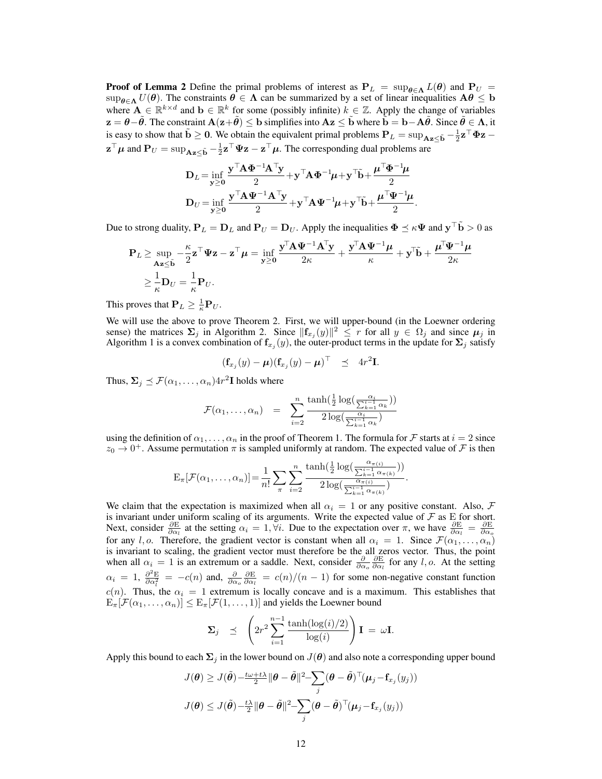**Proof of Lemma 2** Define the primal problems of interest as  $P_L = \sup_{\theta \in \Lambda} L(\theta)$  and  $P_U = L(U(\theta))$  $\sup_{\theta \in \Lambda} U(\theta)$ . The constraints  $\theta \in \Lambda$  can be summarized by a set of linear inequalities  $A\theta \leq b$ where  $A \in \mathbb{R}^{k \times d}$  and  $b \in \mathbb{R}^k$  for some (possibly infinite)  $k \in \mathbb{Z}$ . Apply the change of variables  $z = \theta - \tilde{\theta}$ . The constraint  $A(z + \tilde{\theta}) \le b$  simplifies into  $Az \le \tilde{b}$  where  $\tilde{b} = b - A\tilde{\theta}$ . Since  $\tilde{\theta} \in \Lambda$ , it is easy to show that  $\tilde{\mathbf{b}} \geq 0$ . We obtain the equivalent primal problems  $\mathbf{P}_L = \sup_{\mathbf{A}\mathbf{z}\leq \tilde{\mathbf{b}}} -\frac{1}{2}\mathbf{z}^\top \mathbf{\Phi} \mathbf{z}$  $z^{\top} \mu$  and  $P_U = \sup_{Az \le \tilde{b}} -\frac{1}{2}z^{\top} \Psi z - z^{\top} \mu$ . The corresponding dual problems are

$$
\mathbf{D}_L = \inf_{\mathbf{y} \ge 0} \frac{\mathbf{y}^\top \mathbf{A} \mathbf{\Phi}^{-1} \mathbf{A}^\top \mathbf{y}}{2} + \mathbf{y}^\top \mathbf{A} \mathbf{\Phi}^{-1} \boldsymbol{\mu} + \mathbf{y}^\top \tilde{\mathbf{b}} + \frac{\boldsymbol{\mu}^\top \mathbf{\Phi}^{-1} \boldsymbol{\mu}}{2}
$$

$$
\mathbf{D}_U = \inf_{\mathbf{y} \ge 0} \frac{\mathbf{y}^\top \mathbf{A} \mathbf{\Psi}^{-1} \mathbf{A}^\top \mathbf{y}}{2} + \mathbf{y}^\top \mathbf{A} \mathbf{\Psi}^{-1} \boldsymbol{\mu} + \mathbf{y}^\top \tilde{\mathbf{b}} + \frac{\boldsymbol{\mu}^\top \mathbf{\Psi}^{-1} \boldsymbol{\mu}}{2}.
$$

Due to strong duality,  $P_L = D_L$  and  $P_U = D_U$ . Apply the inequalities  $\Phi \preceq \kappa \Psi$  and  $y^\top \tilde{b} > 0$  as

$$
\mathbf{P}_L \ge \sup_{\mathbf{A} \ge \le \tilde{\mathbf{b}}} -\frac{\kappa}{2} \mathbf{z}^\top \mathbf{\Psi} \mathbf{z} - \mathbf{z}^\top \boldsymbol{\mu} = \inf_{\mathbf{y} \ge 0} \frac{\mathbf{y}^\top \mathbf{A} \mathbf{\Psi}^{-1} \mathbf{A}^\top \mathbf{y}}{2\kappa} + \frac{\mathbf{y}^\top \mathbf{A} \mathbf{\Psi}^{-1} \boldsymbol{\mu}}{\kappa} + \mathbf{y}^\top \tilde{\mathbf{b}} + \frac{\boldsymbol{\mu}^\top \mathbf{\Psi}^{-1} \boldsymbol{\mu}}{2\kappa} \ge \frac{1}{\kappa} \mathbf{D}_U = \frac{1}{\kappa} \mathbf{P}_U.
$$

This proves that  $P_L \geq \frac{1}{\kappa} P_U$ .

We will use the above to prove Theorem 2. First, we will upper-bound (in the Loewner ordering sense) the matrices  $\Sigma_j$  in Algorithm 2. Since  $||\mathbf{f}_{x_j}(y)||^2 \leq r$  for all  $y \in \Omega_j$  and since  $\mu_j$  in Algorithm 1 is a convex combination of  $f_{x_j}(y)$ , the outer-product terms in the update for  $\Sigma_j$  satisfy

$$
(\mathbf{f}_{x_j}(y) - \boldsymbol{\mu}) (\mathbf{f}_{x_j}(y) - \boldsymbol{\mu})^{\top} \preceq 4r^2 \mathbf{I}.
$$

Thus,  $\Sigma_j \preceq \mathcal{F}(\alpha_1, \dots, \alpha_n) 4r^2 \mathbf{I}$  holds where

$$
\mathcal{F}(\alpha_1,\ldots,\alpha_n) = \sum_{i=2}^n \frac{\tanh(\frac{1}{2}\log(\frac{\alpha_i}{\sum_{k=1}^{i-1}\alpha_k}))}{2\log(\frac{\alpha_i}{\sum_{k=1}^{i-1}\alpha_k})}
$$

using the definition of  $\alpha_1, \ldots, \alpha_n$  in the proof of Theorem 1. The formula for *F* starts at  $i = 2$  since  $z_0 \to 0^+$ . Assume permutation  $\pi$  is sampled uniformly at random. The expected value of  $\mathcal F$  is then

$$
\mathrm{E}_{\pi}[\mathcal{F}(\alpha_1,\ldots,\alpha_n)] = \frac{1}{n!} \sum_{\pi} \sum_{i=2}^n \frac{\tanh(\frac{1}{2}\log(\frac{\alpha_{\pi(i)}}{\sum_{k=1}^{i-1} \alpha_{\pi(k)}}))}{2\log(\frac{\alpha_{\pi(i)}}{\sum_{k=1}^{i-1} \alpha_{\pi(k)}})}.
$$

We claim that the expectation is maximized when all  $\alpha_i = 1$  or any positive constant. Also,  $\mathcal F$ is invariant under uniform scaling of its arguments. Write the expected value of  $\mathcal F$  as  $E$  for short. Next, consider  $\frac{\partial E}{\partial \alpha_i}$  at the setting  $\alpha_i = 1, \forall i$ . Due to the expectation over  $\pi$ , we have  $\frac{\partial E}{\partial \alpha_i} = \frac{\partial E}{\partial \alpha_o}$ for any *l, o*. Therefore, the gradient vector is constant when all  $\alpha_i = 1$ . Since  $\mathcal{F}(\alpha_1, \dots, \alpha_n)$ is invariant to scaling, the gradient vector must therefore be the all zeros vector. Thus, the point when all  $\alpha_i = 1$  is an extremum or a saddle. Next, consider  $\frac{\partial}{\partial \alpha_o} \frac{\partial E}{\partial \alpha_l}$  for any *l*, *o*. At the setting  $\alpha_i = 1$ ,  $\frac{\partial^2 E}{\partial \alpha_i^2} = -c(n)$  and,  $\frac{\partial}{\partial \alpha_o} \frac{\partial E}{\partial \alpha_i} = c(n)/(n-1)$  for some non-negative constant function *c*(*n*). Thus, the  $\alpha_i = 1$  extremum is locally concave and is a maximum. This establishes that  $E_{\pi}[\mathcal{F}(\alpha_1,\ldots,\alpha_n)] \leq E_{\pi}[\mathcal{F}(1,\ldots,1)]$  and yields the Loewner bound

$$
\Sigma_j \preceq \left(2r^2\sum_{i=1}^{n-1} \frac{\tanh(\log(i)/2)}{\log(i)}\right) \mathbf{I} = \omega \mathbf{I}.
$$

Apply this bound to each  $\Sigma_j$  in the lower bound on  $J(\theta)$  and also note a corresponding upper bound

$$
J(\theta) \geq J(\tilde{\theta}) - \frac{t\omega + t\lambda}{2} \|\theta - \tilde{\theta}\|^2 - \sum_j (\theta - \tilde{\theta})^\top (\mu_j - \mathbf{f}_{x_j}(y_j))
$$

$$
J(\theta) \leq J(\tilde{\theta}) - \frac{t\lambda}{2} \|\theta - \tilde{\theta}\|^2 - \sum_j (\theta - \tilde{\theta})^\top (\mu_j - \mathbf{f}_{x_j}(y_j))
$$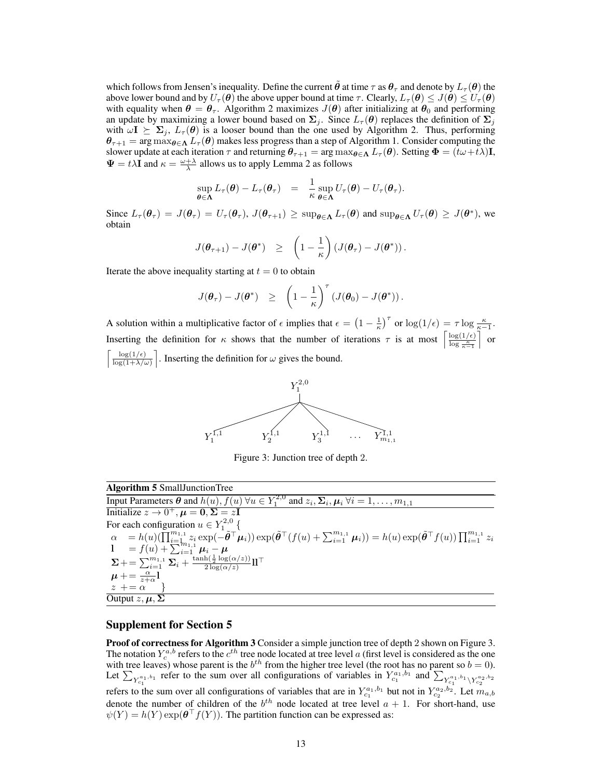which follows from Jensen's inequality. Define the current  $\tilde{\theta}$  at time  $\tau$  as  $\theta_{\tau}$  and denote by  $L_{\tau}(\theta)$  the above lower bound and by  $U_{\tau}(\theta)$  the above upper bound at time  $\tau$ . Clearly,  $L_{\tau}(\theta) \leq J(\theta) \leq U_{\tau}(\theta)$ with equality when  $\theta = \theta_{\tau}$ . Algorithm 2 maximizes  $J(\theta)$  after initializing at  $\theta_0$  and performing an update by maximizing a lower bound based on  $\Sigma_j$ . Since  $L_{\tau}(\theta)$  replaces the definition of  $\Sigma_j$ with  $\omega I \succeq \Sigma_j$ ,  $L_\tau(\theta)$  is a looser bound than the one used by Algorithm 2. Thus, performing  $\theta_{\tau+1} = \arg \max_{\theta \in \Lambda} L_{\tau}(\theta)$  makes less progress than a step of Algorithm 1. Consider computing the slower update at each iteration  $\tau$  and returning  $\theta_{\tau+1} = \arg \max_{\theta \in \Lambda} L_{\tau}(\theta)$ . Setting  $\Phi = (\bar{t}\omega + \bar{t}\lambda)\mathbf{I}$ ,  $\Psi = t\lambda \mathbf{I}$  and  $\kappa = \frac{\omega + \lambda}{\lambda}$  allows us to apply Lemma 2 as follows

$$
\sup_{\theta \in \Lambda} L_{\tau}(\theta) - L_{\tau}(\theta_{\tau}) = \frac{1}{\kappa} \sup_{\theta \in \Lambda} U_{\tau}(\theta) - U_{\tau}(\theta_{\tau}).
$$

Since  $L_{\tau}(\theta_{\tau}) = J(\theta_{\tau}) = U_{\tau}(\theta_{\tau}), J(\theta_{\tau+1}) \ge \sup_{\theta \in \Lambda} L_{\tau}(\theta)$  and  $\sup_{\theta \in \Lambda} U_{\tau}(\theta) \ge J(\theta^*)$ , we obtain

$$
J(\boldsymbol{\theta}_{\tau+1})-J(\boldsymbol{\theta}^*) \geq \left(1-\frac{1}{\kappa}\right)\left(J(\boldsymbol{\theta}_{\tau})-J(\boldsymbol{\theta}^*)\right).
$$

Iterate the above inequality starting at  $t = 0$  to obtain

$$
J(\boldsymbol{\theta}_{\tau})-J(\boldsymbol{\theta}^*) \geq \left(1-\frac{1}{\kappa}\right)^{\tau}\left(J(\boldsymbol{\theta}_0)-J(\boldsymbol{\theta}^*)\right).
$$

A solution within a multiplicative factor of  $\epsilon$  implies that  $\epsilon = \left(1 - \frac{1}{\kappa}\right)^{\tau}$  or  $\log(1/\epsilon) = \tau \log \frac{\kappa}{\kappa - 1}$ . Inserting the definition for *κ* shows that the number of iterations  $\tau$  is at most  $\left\lceil \frac{\log(1/\epsilon)}{\log \frac{\kappa}{\kappa-1}} \right\rceil$ ⌉ or  $\lceil \frac{\log(1/\epsilon)}{2} \rceil$  $\frac{\log(1/\epsilon)}{\log(1+\lambda/\omega)}$ . Inserting the definition for  $\omega$  gives the bound.



Figure 3: Junction tree of depth 2.

| <b>Algorithm 5</b> Small Junction Tree                                                                                                                                                                    |
|-----------------------------------------------------------------------------------------------------------------------------------------------------------------------------------------------------------|
| Input Parameters $\theta$ and $h(u)$ , $f(u)$ $\forall u \in Y_1^{2,0}$ and $z_i, \Sigma_i, \mu_i \forall i = 1, \ldots, m_{1,1}$                                                                         |
| Initialize $z \to 0^+, \mu = 0, \Sigma = zI$                                                                                                                                                              |
| For each configuration $u \in Y_1^{2,0}$ {                                                                                                                                                                |
| $\alpha = h(u)(\prod_{i=1}^{m_{1,1}} z_i \exp(-\tilde{\theta}^\top \mu_i)) \exp(\tilde{\theta}^\top (f(u) + \sum_{i=1}^{m_{1,1}} \mu_i)) = h(u) \exp(\tilde{\theta}^\top f(u)) \prod_{i=1}^{m_{1,1}} z_i$ |
| 1 = $f(u) + \sum_{i=1}^{m_{1,1}} \mu_i - \mu$                                                                                                                                                             |
| $\Sigma + = \sum_{i=1}^{m_{1,1}} \Sigma_i + \frac{\tanh(\frac{1}{2} \log(\alpha/z))}{2 \log(\alpha/z)} \Pi^{\top}$                                                                                        |
| $\mu + = \frac{\alpha}{z + \alpha} 1$                                                                                                                                                                     |
| $z + \alpha$                                                                                                                                                                                              |
| Output $z, \mu, \Sigma$                                                                                                                                                                                   |

## Supplement for Section 5

Proof of correctness for Algorithm 3 Consider a simple junction tree of depth 2 shown on Figure 3. The notation  $Y_c^{a,b}$  refers to the  $c^{th}$  tree node located at tree level *a* (first level is considered as the one with tree leaves) whose parent is the  $b^{th}$  from the higher tree level (the root has no parent so  $b = 0$ ). Let  $\sum_{Y_{c_1}^{a_1,b_1}}$  refer to the sum over all configurations of variables in  $Y_{c_1}^{a_1,b_1}$  and  $\sum_{Y_{c_1}^{a_1,b_1} \backslash Y_{c_2}^{a_2,b_2}}$ <br>refers to the sum over all configurations of variables that are in  $Y_{c_1}^{a_1,b_1}$ denote the number of children of the  $b^{th}$  node located at tree level  $a + 1$ . For short-hand, use  $\psi(Y) = h(Y) \exp(\theta | f(Y))$ . The partition function can be expressed as: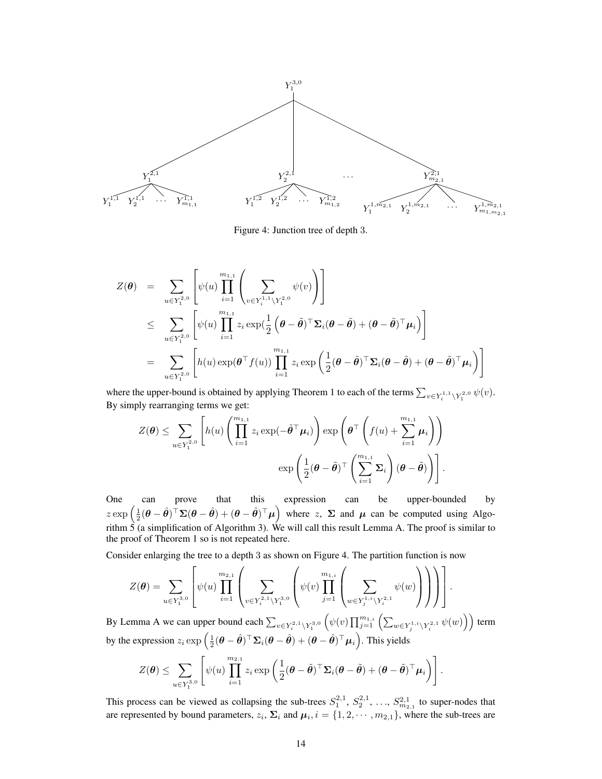

Figure 4: Junction tree of depth 3.

$$
Z(\theta) = \sum_{u \in Y_1^{2,0}} \left[ \psi(u) \prod_{i=1}^{m_{1,1}} \left( \sum_{v \in Y_i^{1,1} \setminus Y_1^{2,0}} \psi(v) \right) \right]
$$
  
\n
$$
\leq \sum_{u \in Y_1^{2,0}} \left[ \psi(u) \prod_{i=1}^{m_{1,1}} z_i \exp(\frac{1}{2} \left( \theta - \tilde{\theta})^\top \Sigma_i (\theta - \tilde{\theta}) + (\theta - \tilde{\theta})^\top \mu_i \right) \right]
$$
  
\n
$$
= \sum_{u \in Y_1^{2,0}} \left[ h(u) \exp(\theta^\top f(u)) \prod_{i=1}^{m_{1,1}} z_i \exp\left( \frac{1}{2} (\theta - \tilde{\theta})^\top \Sigma_i (\theta - \tilde{\theta}) + (\theta - \tilde{\theta})^\top \mu_i \right) \right]
$$

where the upper-bound is obtained by applying Theorem 1 to each of the terms  $\sum_{v \in Y_i^{1,1} \setminus Y_1^{2,0}} \psi(v)$ . By simply rearranging terms we get:

$$
Z(\boldsymbol{\theta}) \leq \sum_{u \in Y_1^{2,0}} \left[ h(u) \left( \prod_{i=1}^{m_{1,1}} z_i \exp(-\tilde{\boldsymbol{\theta}}^\top \boldsymbol{\mu}_i) \right) \exp\left( \boldsymbol{\theta}^\top \left( f(u) + \sum_{i=1}^{m_{1,1}} \boldsymbol{\mu}_i \right) \right) \right. \\ \left. \exp \left( \frac{1}{2} (\boldsymbol{\theta} - \tilde{\boldsymbol{\theta}})^\top \left( \sum_{i=1}^{m_{1,1}} \boldsymbol{\Sigma}_i \right) (\boldsymbol{\theta} - \tilde{\boldsymbol{\theta}}) \right) \right].
$$

One can prove that this expression can be upper-bounded by  $z \exp\left(\frac{1}{2}(\theta - \hat{\theta})^\top \Sigma (\theta - \hat{\theta}) + (\theta - \hat{\theta})^\top \mu\right)$  where *z*,  $\Sigma$  and  $\mu$  can be computed using Algorithm 5 (a simplification of Algorithm 3). We will call this result Lemma A. The proof is similar to the proof of Theorem 1 so is not repeated here.

Consider enlarging the tree to a depth 3 as shown on Figure 4. The partition function is now

$$
Z(\boldsymbol{\theta}) = \sum_{u \in Y_1^{3,0}} \left[ \psi(u) \prod_{i=1}^{m_{2,1}} \left( \sum_{v \in Y_i^{2,1} \setminus Y_1^{3,0}} \left( \psi(v) \prod_{j=1}^{m_{1,i}} \left( \sum_{w \in Y_j^{1,i} \setminus Y_i^{2,1}} \psi(w) \right) \right) \right) \right].
$$

By Lemma A we can upper bound each  $\sum_{v \in Y_i^{2,1} \setminus Y_1^{3,0}} \left( \psi(v) \prod_{j=1}^{m_{1,i}} \left( \sum_{w \in Y_j^{1,i} \setminus Y_i^{2,1}} \psi(w) \right) \right)$  term by the expression  $z_i \exp\left(\frac{1}{2}(\boldsymbol{\theta}-\hat{\boldsymbol{\theta}})^\top \boldsymbol{\Sigma}_i (\boldsymbol{\theta}-\hat{\boldsymbol{\theta}}) + (\boldsymbol{\theta}-\hat{\boldsymbol{\theta}})^\top \boldsymbol{\mu}_i\right)$ . This yields

$$
Z(\boldsymbol{\theta}) \leq \sum_{u \in Y_1^{3,0}} \left[ \psi(u) \prod_{i=1}^{m_{2,1}} z_i \exp \left( \frac{1}{2} (\boldsymbol{\theta} - \tilde{\boldsymbol{\theta}})^{\top} \boldsymbol{\Sigma}_i (\boldsymbol{\theta} - \tilde{\boldsymbol{\theta}}) + (\boldsymbol{\theta} - \tilde{\boldsymbol{\theta}})^{\top} \boldsymbol{\mu}_i \right) \right].
$$

This process can be viewed as collapsing the sub-trees  $S_1^{2,1}, S_2^{2,1}, \ldots, S_{m_{2,1}}^{2,1}$  to super-nodes that are represented by bound parameters,  $z_i$ ,  $\Sigma_i$  and  $\mu_i$ ,  $i = \{1, 2, \dots, m_{2,1}\}$ , where the sub-trees are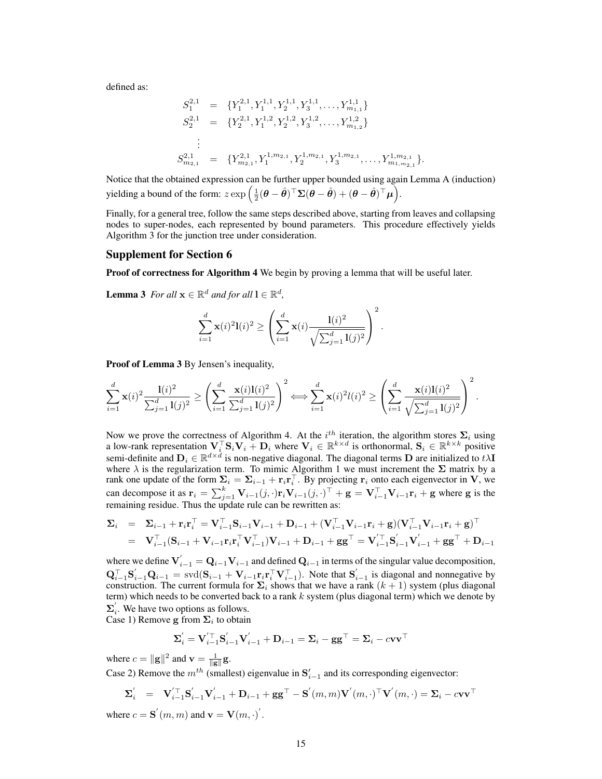defined as:

$$
S_1^{2,1} = \{Y_1^{2,1}, Y_1^{1,1}, Y_2^{1,1}, Y_3^{1,1}, \dots, Y_{m_{1,1}}^{1,1}\}
$$
  
\n
$$
S_2^{2,1} = \{Y_2^{2,1}, Y_1^{1,2}, Y_2^{1,2}, Y_3^{1,2}, \dots, Y_{m_{1,2}}^{1,2}\}
$$
  
\n
$$
\vdots
$$
  
\n
$$
S_{m_{2,1}}^{2,1} = \{Y_{m_{2,1}}^{2,1}, Y_1^{1,m_{2,1}}, Y_2^{1,m_{2,1}}, Y_3^{1,m_{2,1}}, \dots, Y_{m_{1,m_{2,1}}^{1,m_{2,1}}\}.
$$

Notice that the obtained expression can be further upper bounded using again Lemma A (induction)  $\text{yielding a bound of the form: } z \exp\left(\frac{1}{2}(\boldsymbol{\theta} - \hat{\boldsymbol{\theta}})^\top \boldsymbol{\Sigma} (\boldsymbol{\theta} - \hat{\boldsymbol{\theta}}) + (\boldsymbol{\theta} - \hat{\boldsymbol{\theta}})^\top \boldsymbol{\mu}\right).$ 

Finally, for a general tree, follow the same steps described above, starting from leaves and collapsing nodes to super-nodes, each represented by bound parameters. This procedure effectively yields Algorithm 3 for the junction tree under consideration.

## Supplement for Section 6

Proof of correctness for Algorithm 4 We begin by proving a lemma that will be useful later.

**Lemma 3** For all  $\mathbf{x} \in \mathbb{R}^d$  and for all  $\mathbf{l} \in \mathbb{R}^d$ ,

$$
\sum_{i=1}^{d} \mathbf{x}(i)^{2} \mathbf{I}(i)^{2} \ge \left( \sum_{i=1}^{d} \mathbf{x}(i) \frac{\mathbf{I}(i)^{2}}{\sqrt{\sum_{j=1}^{d} \mathbf{I}(j)^{2}}} \right)^{2}.
$$

Proof of Lemma 3 By Jensen's inequality,

$$
\sum_{i=1}^d \mathbf{x}(i)^2 \frac{\mathbf{l}(i)^2}{\sum_{j=1}^d \mathbf{l}(j)^2} \ge \left(\sum_{i=1}^d \frac{\mathbf{x}(i)\mathbf{l}(i)^2}{\sum_{j=1}^d \mathbf{l}(j)^2}\right)^2 \Longleftrightarrow \sum_{i=1}^d \mathbf{x}(i)^2 l(i)^2 \ge \left(\sum_{i=1}^d \frac{\mathbf{x}(i)\mathbf{l}(i)^2}{\sqrt{\sum_{j=1}^d \mathbf{l}(j)^2}}\right)^2.
$$

Now we prove the correctness of Algorithm 4. At the  $i^{th}$  iteration, the algorithm stores  $\Sigma_i$  using a low-rank representation  $V_i^{\top} S_i V_i + D_i$  where  $V_i \in \mathbb{R}^{k \times d}$  is orthonormal,  $S_i \in \mathbb{R}^{k \times k}$  positive semi-definite and  $D_i \in \mathbb{R}^{d \times d}$  is non-negative diagonal. The diagonal terms  $D$  are initialized to  $t\lambda \mathbf{I}$ where *λ* is the regularization term. To mimic Algorithm 1 we must increment the **Σ** matrix by a rank one update of the form  $\Sigma_i = \Sigma_{i-1} + \mathbf{r}_i \mathbf{r}_i^\top$ . By projecting  $\mathbf{r}_i$  onto each eigenvector in **V**, we can decompose it as  $\mathbf{r}_i = \sum_{j=1}^k \mathbf{V}_{i-1}(j, \cdot) \mathbf{r}_i \mathbf{V}_{i-1}(j, \cdot)^\top + \mathbf{g} = \mathbf{V}_{i-1}^\top \mathbf{V}_{i-1} \mathbf{r}_i + \mathbf{g}$  where g is the remaining residue. Thus the update rule can be rewritten as:

$$
\Sigma_{i} = \Sigma_{i-1} + \mathbf{r}_{i}\mathbf{r}_{i}^{\top} = \mathbf{V}_{i-1}^{\top}\mathbf{S}_{i-1}\mathbf{V}_{i-1} + \mathbf{D}_{i-1} + (\mathbf{V}_{i-1}^{\top}\mathbf{V}_{i-1}\mathbf{r}_{i} + \mathbf{g})(\mathbf{V}_{i-1}^{\top}\mathbf{V}_{i-1}\mathbf{r}_{i} + \mathbf{g})^{\top} \n= \mathbf{V}_{i-1}^{\top}(\mathbf{S}_{i-1} + \mathbf{V}_{i-1}\mathbf{r}_{i}\mathbf{r}_{i}^{\top}\mathbf{V}_{i-1}^{\top})\mathbf{V}_{i-1} + \mathbf{D}_{i-1} + \mathbf{g}\mathbf{g}^{\top} = \mathbf{V}_{i-1}^{\prime\top}\mathbf{S}_{i-1}^{\prime}\mathbf{V}_{i-1}^{\prime} + \mathbf{g}\mathbf{g}^{\top} + \mathbf{D}_{i-1}
$$

where we define  $V'_{i-1} = Q_{i-1}V_{i-1}$  and defined  $Q_{i-1}$  in terms of the singular value decomposition,  $\mathbf{Q}_{i-1}^{\top} \mathbf{S}_{i-1}^{\top} \mathbf{Q}_{i-1} = \text{svd}(\mathbf{S}_{i-1} + \mathbf{V}_{i-1} \mathbf{r}_i \mathbf{r}_i^{\top} \mathbf{V}_{i-1}^{\top}).$  Note that  $\mathbf{S}_{i-1}^{\prime}$  is diagonal and nonnegative by construction. The current formula for  $\Sigma_i$  shows that we have a rank  $(k + 1)$  system (plus diagonal term) which needs to be converted back to a rank *k* system (plus diagonal term) which we denote by  $\Sigma_i$ <sup>'</sup>. We have two options as follows.

Case 1) Remove **g** from 
$$
\Sigma_i
$$
 to obtain

$$
\boldsymbol{\Sigma}_{i}^{'} = \mathbf{V}_{i-1}^{'\top} \mathbf{S}_{i-1}^{'} \mathbf{V}_{i-1}^{'} + \mathbf{D}_{i-1} = \boldsymbol{\Sigma}_{i} - \mathbf{g} \mathbf{g}^{\top} = \boldsymbol{\Sigma}_{i} - c \mathbf{v} \mathbf{v}^{\top}
$$

where  $c = ||\mathbf{g}||^2$  and  $\mathbf{v} = \frac{1}{||\mathbf{g}||} \mathbf{g}$ . Case 2) Remove the  $m^{th}$  (smallest) eigenvalue in  $S'_{i-1}$  and its corresponding eigenvector:

$$
\boldsymbol{\Sigma}_i' \quad = \quad \mathbf{V}_{i-1}'^\top \mathbf{S}_{i-1}' \mathbf{V}_{i-1}' + \mathbf{D}_{i-1} + \mathbf{g} \mathbf{g}^\top - \mathbf{S}^{'}(m, m) \mathbf{V}^{'}(m, \cdot)^\top \mathbf{V}^{'}(m, \cdot) = \boldsymbol{\Sigma}_i - c \mathbf{v} \mathbf{v}^\top
$$

where  $c = \mathbf{S}'(m, m)$  and  $\mathbf{v} = \mathbf{V}(m, \cdot)'.$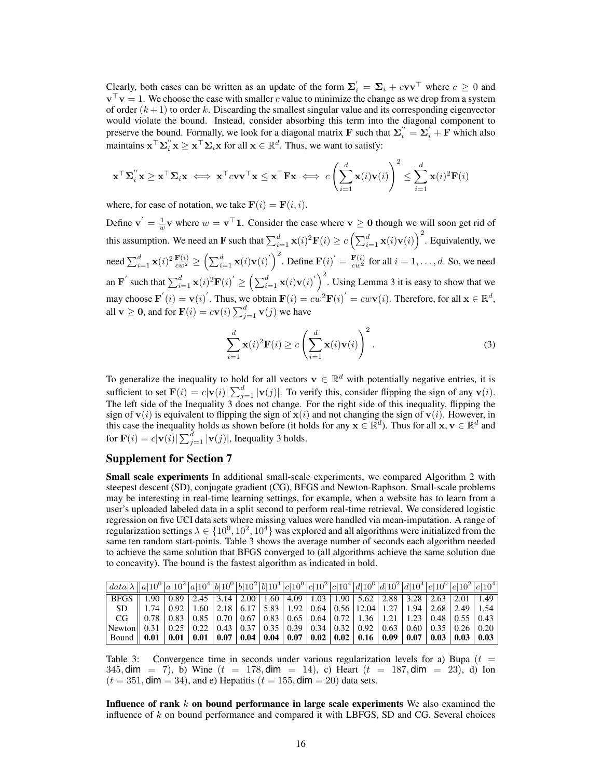Clearly, both cases can be written as an update of the form  $\Sigma_i' = \Sigma_i + cvv^\top$  where  $c \ge 0$  and **v** *<sup>⊤</sup>***v** = 1. We choose the case with smaller *c* value to minimize the change as we drop from a system of order  $(k+1)$  to order k. Discarding the smallest singular value and its corresponding eigenvector would violate the bound. Instead, consider absorbing this term into the diagonal component to preserve the bound. Formally, we look for a diagonal matrix **F** such that  $\Sigma_i^{''} = \Sigma_i^{'} + \mathbf{F}$  which also maintains  $\mathbf{x}^\top \mathbf{\Sigma}_i'' \mathbf{x} \geq \mathbf{x}^\top \mathbf{\Sigma}_i \mathbf{x}$  for all  $\mathbf{x} \in \mathbb{R}^d$ . Thus, we want to satisfy:

$$
\mathbf{x}^{\top} \mathbf{\Sigma}_i'' \mathbf{x} \geq \mathbf{x}^{\top} \mathbf{\Sigma}_i \mathbf{x} \iff \mathbf{x}^{\top} c \mathbf{v} \mathbf{v}^{\top} \mathbf{x} \leq \mathbf{x}^{\top} \mathbf{F} \mathbf{x} \iff c \left( \sum_{i=1}^d \mathbf{x}(i) \mathbf{v}(i) \right)^2 \leq \sum_{i=1}^d \mathbf{x}(i)^2 \mathbf{F}(i)
$$

where, for ease of notation, we take  $\mathbf{F}(i) = \mathbf{F}(i, i)$ .

Define  $\mathbf{v}' = \frac{1}{w} \mathbf{v}$  where  $w = \mathbf{v}^\top \mathbf{1}$ . Consider the case where  $\mathbf{v} \geq 0$  though we will soon get rid of this assumption. We need an **F** such that  $\sum_{i=1}^{d} \mathbf{x}(i)^2 \mathbf{F}(i) \ge c \left( \sum_{i=1}^{d} \mathbf{x}(i) \mathbf{v}(i) \right)^2$ . Equivalently, we need  $\sum_{i=1}^d \mathbf{x}(i)^2 \frac{\mathbf{F}(i)}{cw^2} \ge \left(\sum_{i=1}^d \mathbf{x}(i) \mathbf{v}(i)\right)^2$ . Define  $\mathbf{F}(i)' = \frac{\mathbf{F}(i)}{cw^2}$  for all  $i = 1, ..., d$ . So, we need an  $\mathbf{F}'$  such that  $\sum_{i=1}^d \mathbf{x}(i)^2 \mathbf{F}(i)' \ge \left(\sum_{i=1}^d \mathbf{x}(i) \mathbf{v}(i)'\right)^2$ . Using Lemma 3 it is easy to show that we may choose  $\mathbf{F}'(i) = \mathbf{v}(i)'$ . Thus, we obtain  $\mathbf{F}(i) = cw^2 \mathbf{F}(i)' = cw\mathbf{v}(i)$ . Therefore, for all  $\mathbf{x} \in \mathbb{R}^d$ , all  $\mathbf{v} \geq \mathbf{0}$ , and for  $\mathbf{F}(i) = c\mathbf{v}(i) \sum_{j=1}^{d} \mathbf{v}(j)$  we have

$$
\sum_{i=1}^{d} \mathbf{x}(i)^{2} \mathbf{F}(i) \ge c \left( \sum_{i=1}^{d} \mathbf{x}(i) \mathbf{v}(i) \right)^{2}.
$$
 (3)

To generalize the inequality to hold for all vectors  $\mathbf{v} \in \mathbb{R}^d$  with potentially negative entries, it is sufficient to set  $\mathbf{F}(i) = c|\mathbf{v}(i)| \sum_{j=1}^{d} |\mathbf{v}(j)|$ . To verify this, consider flipping the sign of any  $\mathbf{v}(i)$ . The left side of the Inequality 3 does not change. For the right side of this inequality, flipping the sign of  $\mathbf{v}(i)$  is equivalent to flipping the sign of  $\mathbf{x}(i)$  and not changing the sign of  $\mathbf{v}(i)$ . However, in this case the inequality holds as shown before (it holds for any  $\mathbf{x} \in \mathbb{R}^d$ ). Thus for all  $\mathbf{x}, \mathbf{v} \in \mathbb{R}^d$  and for  $\mathbf{F}(i) = c|\mathbf{v}(i)| \sum_{j=1}^{d} |\mathbf{v}(j)|$ , Inequality 3 holds.

## Supplement for Section 7

**Small scale experiments** In additional small-scale experiments, we compared Algorithm 2 with steepest descent (SD), conjugate gradient (CG), BFGS and Newton-Raphson. Small-scale problems may be interesting in real-time learning settings, for example, when a website has to learn from a user's uploaded labeled data in a split second to perform real-time retrieval. We considered logistic regression on five UCI data sets where missing values were handled via mean-imputation. A range of regularization settings  $\lambda \in \{10^0, 10^2, 10^4\}$  was explored and all algorithms were initialized from the same ten random start-points. Table 3 shows the average number of seconds each algorithm needed to achieve the same solution that BFGS converged to (all algorithms achieve the same solution due to concavity). The bound is the fastest algorithm as indicated in bold.

| $\vert data a \vert \lambda \vert \vert a \vert 10^{0}\vert a \vert 10^{2}\vert a \vert 10^{4}\vert b \vert 10^{0}\vert b \vert 10^{2}\vert b \vert 10^{4}\vert c \vert 10^{0}\vert c \vert 10^{0}\vert c \vert 10^{2}\vert c \vert 10^{4}\vert d \vert 10^{0}\vert d \vert 10^{2}\vert d \vert 10^{4}\vert e \vert 10^{0}\vert e \vert 10^{2}\vert e \vert 10^{4}\vert e \vert 10^{4}\vert e \vert 10^{4}\vert e \vert 10^{4}\vert e \vert 10^{4}\vert e \vert 10^{4$ |                                                                                                                                                                                                                                                                    |  |  |  |  |  |  |  |
|------------------------------------------------------------------------------------------------------------------------------------------------------------------------------------------------------------------------------------------------------------------------------------------------------------------------------------------------------------------------------------------------------------------------------------------------------------------------|--------------------------------------------------------------------------------------------------------------------------------------------------------------------------------------------------------------------------------------------------------------------|--|--|--|--|--|--|--|
| BFGS   1.90   0.89   2.45   3.14   2.00   1.60   4.09   1.03   1.90   5.62   2.88   3.28   2.63   2.01   1.49                                                                                                                                                                                                                                                                                                                                                          |                                                                                                                                                                                                                                                                    |  |  |  |  |  |  |  |
|                                                                                                                                                                                                                                                                                                                                                                                                                                                                        | SD $\parallel$ 1.74 $\parallel$ 0.92 $\parallel$ 1.60 $\parallel$ 2.18 $\parallel$ 6.17 $\parallel$ 5.83 $\parallel$ 1.92 $\parallel$ 0.64 $\parallel$ 0.56 $\parallel$ 12.04 $\parallel$ 1.27 $\parallel$ 1.94 $\parallel$ 2.68 $\parallel$ 2.49 $\parallel$ 1.54 |  |  |  |  |  |  |  |
| CG $\parallel$ 0.78 $\parallel$ 0.83 $\parallel$ 0.85 $\parallel$ 0.70 $\parallel$ 0.67 $\parallel$ 0.85 $\parallel$ 0.65 $\parallel$ 0.64 $\parallel$ 0.72 $\parallel$ 1.36 $\parallel$ 1.21 $\parallel$ 1.23 $\parallel$ 0.48 $\parallel$ 0.55 $\parallel$ 0.43                                                                                                                                                                                                      |                                                                                                                                                                                                                                                                    |  |  |  |  |  |  |  |
| $\vert$ Newton $\vert$ 0.31 $\vert$ 0.25 $\vert$ 0.22 $\vert$ 0.43 $\vert$ 0.37 $\vert$ 0.35 $\vert$ 0.39 $\vert$ 0.34 $\vert$ 0.32 $\vert$ 0.92 $\vert$ 0.63 $\vert$ 0.60 $\vert$ 0.35 $\vert$ 0.26 $\vert$ 0.20                                                                                                                                                                                                                                                      |                                                                                                                                                                                                                                                                    |  |  |  |  |  |  |  |
| Bound    $0.01$   $0.01$   $0.01$   $0.07$   $0.04$   $0.04$   $0.07$   $0.02$   $0.02$   $0.16$   $0.09$   $0.07$   $0.03$   $0.03$   $0.03$                                                                                                                                                                                                                                                                                                                          |                                                                                                                                                                                                                                                                    |  |  |  |  |  |  |  |

Table 3: Convergence time in seconds under various regularization levels for a) Bupa  $(t =$ 345, dim = 7), b) Wine  $(t = 178, \text{dim} = 14)$ , c) Heart  $(t = 187, \text{dim} = 23)$ , d) Ion  $(t = 351, \text{dim} = 34)$ , and e) Hepatitis  $(t = 155, \text{dim} = 20)$  data sets.

Influence of rank *k* on bound performance in large scale experiments We also examined the influence of *k* on bound performance and compared it with LBFGS, SD and CG. Several choices